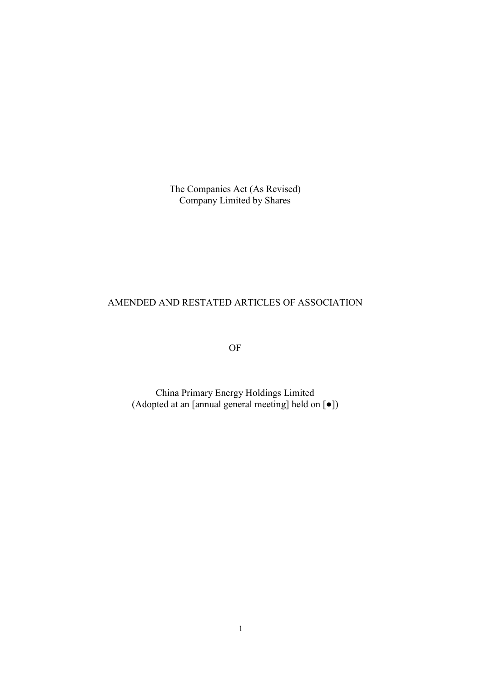The Companies Act (As Revised) Company Limited by Shares

# AMENDED AND RESTATED ARTICLES OF ASSOCIATION

OF

China Primary Energy Holdings Limited (Adopted at an [annual general meeting] held on [●])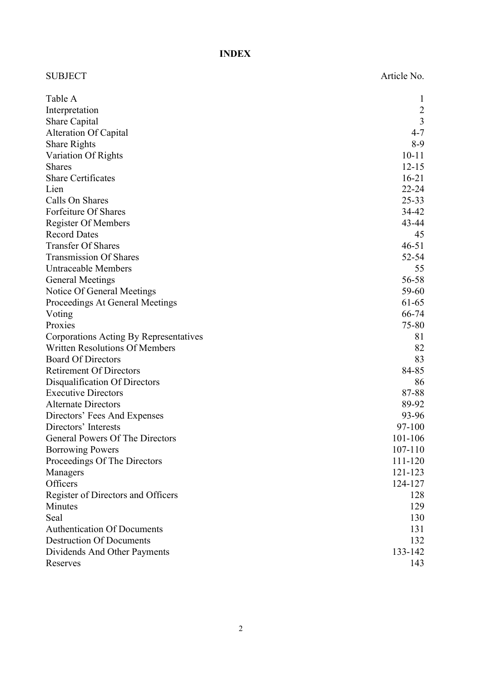INDEX

| <b>SUBJECT</b>                         | Article No.    |
|----------------------------------------|----------------|
| Table A                                |                |
| Interpretation                         | $\overline{2}$ |
| Share Capital                          | $\overline{3}$ |
| <b>Alteration Of Capital</b>           | $4 - 7$        |
| <b>Share Rights</b>                    | $8-9$          |
| Variation Of Rights                    | $10 - 11$      |
| <b>Shares</b>                          | $12 - 15$      |
| <b>Share Certificates</b>              | $16 - 21$      |
| Lien                                   | $22 - 24$      |
| Calls On Shares                        | $25 - 33$      |
| Forfeiture Of Shares                   | 34-42          |
| <b>Register Of Members</b>             | 43-44          |
| <b>Record Dates</b>                    | 45             |
| <b>Transfer Of Shares</b>              | $46 - 51$      |
| <b>Transmission Of Shares</b>          | $52 - 54$      |
| <b>Untraceable Members</b>             | 55             |
| <b>General Meetings</b>                | 56-58          |
| Notice Of General Meetings             | 59-60          |
| Proceedings At General Meetings        | 61-65          |
| Voting                                 | 66-74          |
| Proxies                                | 75-80          |
| Corporations Acting By Representatives | 81             |
| <b>Written Resolutions Of Members</b>  | 82             |
| <b>Board Of Directors</b>              | 83             |
| <b>Retirement Of Directors</b>         | 84-85          |
| Disqualification Of Directors          | 86             |
| <b>Executive Directors</b>             | 87-88          |
| <b>Alternate Directors</b>             | 89-92          |
| Directors' Fees And Expenses           | 93-96          |
| Directors' Interests                   | 97-100         |
| General Powers Of The Directors        | 101-106        |
| <b>Borrowing Powers</b>                | $107 - 110$    |
| Proceedings Of The Directors           | 111-120        |
| Managers                               | 121-123        |
| Officers                               | 124-127        |
| Register of Directors and Officers     | 128            |
| Minutes                                | 129            |
| Seal                                   | 130            |
| <b>Authentication Of Documents</b>     | 131            |
| <b>Destruction Of Documents</b>        | 132            |
| Dividends And Other Payments           | 133-142        |
| Reserves                               | 143            |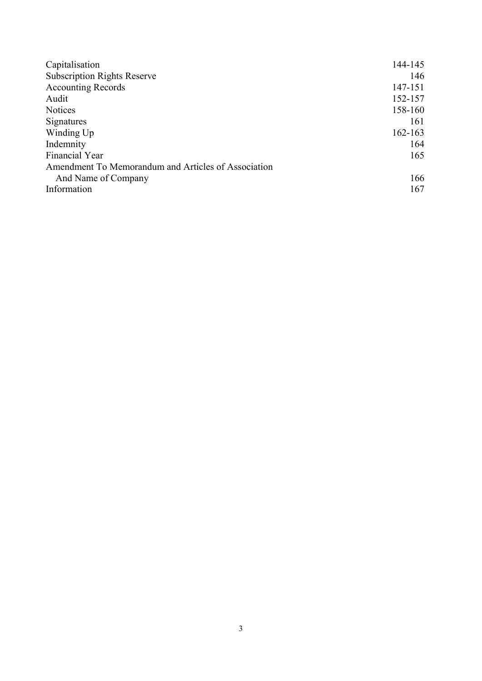| Capitalisation                                      | 144-145     |
|-----------------------------------------------------|-------------|
| <b>Subscription Rights Reserve</b>                  | 146         |
| <b>Accounting Records</b>                           | 147-151     |
| Audit                                               | 152-157     |
| <b>Notices</b>                                      | 158-160     |
| Signatures                                          | 161         |
| Winding Up                                          | $162 - 163$ |
| Indemnity                                           | 164         |
| Financial Year                                      | 165         |
| Amendment To Memorandum and Articles of Association |             |
| And Name of Company                                 | 166         |
| Information                                         | 167         |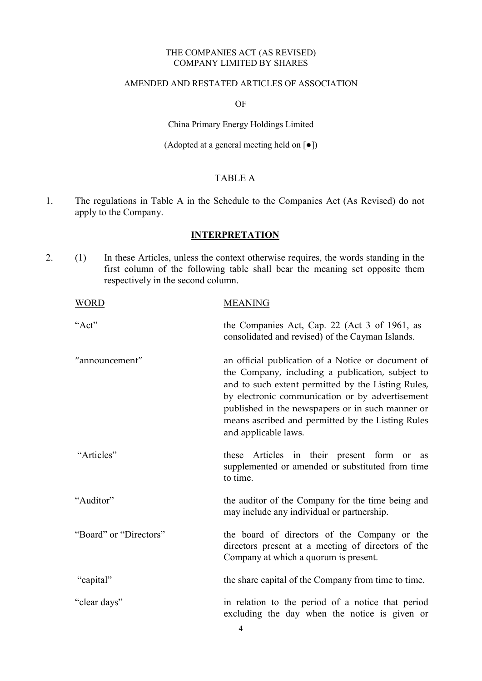#### THE COMPANIES ACT (AS REVISED) COMPANY LIMITED BY SHARES

#### AMENDED AND RESTATED ARTICLES OF ASSOCIATION

OF

China Primary Energy Holdings Limited

(Adopted at a general meeting held on [●])

## TABLE A

1. The regulations in Table A in the Schedule to the Companies Act (As Revised) do not apply to the Company.

## **INTERPRETATION**

2. (1) In these Articles, unless the context otherwise requires, the words standing in the first column of the following table shall bear the meaning set opposite them respectively in the second column.

| <b>WORD</b>            | <b>MEANING</b>                                                                                                                                                                                                                                                                                                                                   |
|------------------------|--------------------------------------------------------------------------------------------------------------------------------------------------------------------------------------------------------------------------------------------------------------------------------------------------------------------------------------------------|
| "Act"                  | the Companies Act, Cap. 22 (Act 3 of 1961, as<br>consolidated and revised) of the Cayman Islands.                                                                                                                                                                                                                                                |
| "announcement"         | an official publication of a Notice or document of<br>the Company, including a publication, subject to<br>and to such extent permitted by the Listing Rules,<br>by electronic communication or by advertisement<br>published in the newspapers or in such manner or<br>means ascribed and permitted by the Listing Rules<br>and applicable laws. |
| "Articles"             | these Articles in their present form<br>or<br><b>as</b><br>supplemented or amended or substituted from time<br>to time.                                                                                                                                                                                                                          |
| "Auditor"              | the auditor of the Company for the time being and<br>may include any individual or partnership.                                                                                                                                                                                                                                                  |
| "Board" or "Directors" | the board of directors of the Company or the<br>directors present at a meeting of directors of the<br>Company at which a quorum is present.                                                                                                                                                                                                      |
| "capital"              | the share capital of the Company from time to time.                                                                                                                                                                                                                                                                                              |
| "clear days"           | in relation to the period of a notice that period<br>excluding the day when the notice is given or                                                                                                                                                                                                                                               |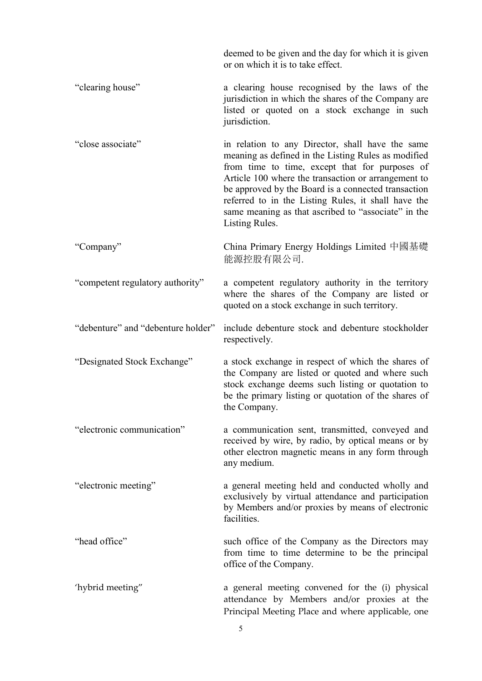deemed to be given and the day for which it is given or on which it is to take effect.

- "clearing house" a clearing house recognised by the laws of the jurisdiction in which the shares of the Company are listed or quoted on a stock exchange in such jurisdiction.
- "close associate" in relation to any Director, shall have the same meaning as defined in the Listing Rules as modified from time to time, except that for purposes of Article 100 where the transaction or arrangement to be approved by the Board is a connected transaction referred to in the Listing Rules, it shall have the same meaning as that ascribed to "associate" in the Listing Rules.

"Company" China Primary Energy Holdings Limited 中國基礎 能源控股有限公司.

"competent regulatory authority" a competent regulatory authority in the territory where the shares of the Company are listed or quoted on a stock exchange in such territory.

"debenture" and "debenture holder" include debenture stock and debenture stockholder respectively.

"Designated Stock Exchange" a stock exchange in respect of which the shares of the Company are listed or quoted and where such stock exchange deems such listing or quotation to be the primary listing or quotation of the shares of the Company.

"electronic communication" a communication sent, transmitted, conveyed and received by wire, by radio, by optical means or by other electron magnetic means in any form through any medium.

"electronic meeting" a general meeting held and conducted wholly and exclusively by virtual attendance and participation by Members and/or proxies by means of electronic facilities.

"head office" such office of the Company as the Directors may from time to time determine to be the principal office of the Company.

'hybrid meeting" a general meeting convened for the (i) physical attendance by Members and/or proxies at the Principal Meeting Place and where applicable, one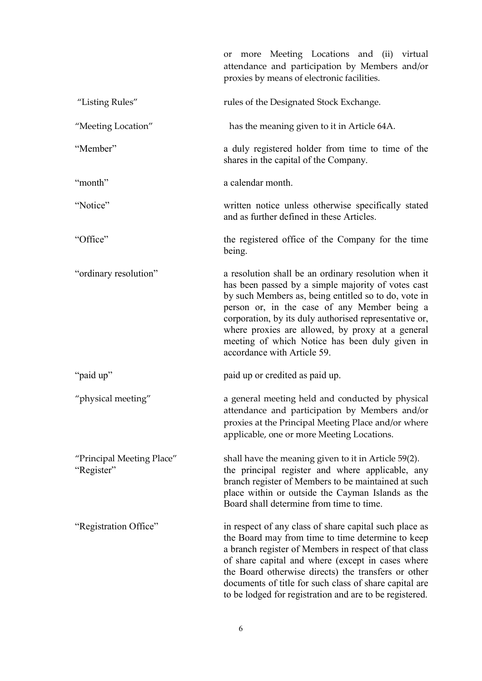|                                         | or more Meeting Locations and (ii) virtual<br>attendance and participation by Members and/or<br>proxies by means of electronic facilities.                                                                                                                                                                                                                                                                        |
|-----------------------------------------|-------------------------------------------------------------------------------------------------------------------------------------------------------------------------------------------------------------------------------------------------------------------------------------------------------------------------------------------------------------------------------------------------------------------|
| "Listing Rules"                         | rules of the Designated Stock Exchange.                                                                                                                                                                                                                                                                                                                                                                           |
| "Meeting Location"                      | has the meaning given to it in Article 64A.                                                                                                                                                                                                                                                                                                                                                                       |
| "Member"                                | a duly registered holder from time to time of the<br>shares in the capital of the Company.                                                                                                                                                                                                                                                                                                                        |
| "month"                                 | a calendar month.                                                                                                                                                                                                                                                                                                                                                                                                 |
| "Notice"                                | written notice unless otherwise specifically stated<br>and as further defined in these Articles.                                                                                                                                                                                                                                                                                                                  |
| "Office"                                | the registered office of the Company for the time<br>being.                                                                                                                                                                                                                                                                                                                                                       |
| "ordinary resolution"                   | a resolution shall be an ordinary resolution when it<br>has been passed by a simple majority of votes cast<br>by such Members as, being entitled so to do, vote in<br>person or, in the case of any Member being a<br>corporation, by its duly authorised representative or,<br>where proxies are allowed, by proxy at a general<br>meeting of which Notice has been duly given in<br>accordance with Article 59. |
| "paid up"                               | paid up or credited as paid up.                                                                                                                                                                                                                                                                                                                                                                                   |
| "physical meeting"                      | a general meeting held and conducted by physical<br>attendance and participation by Members and/or<br>proxies at the Principal Meeting Place and/or where<br>applicable, one or more Meeting Locations.                                                                                                                                                                                                           |
| "Principal Meeting Place"<br>"Register" | shall have the meaning given to it in Article 59(2).<br>the principal register and where applicable, any<br>branch register of Members to be maintained at such<br>place within or outside the Cayman Islands as the<br>Board shall determine from time to time.                                                                                                                                                  |
| "Registration Office"                   | in respect of any class of share capital such place as<br>the Board may from time to time determine to keep<br>a branch register of Members in respect of that class<br>of share capital and where (except in cases where<br>the Board otherwise directs) the transfers or other<br>documents of title for such class of share capital are<br>to be lodged for registration and are to be registered.             |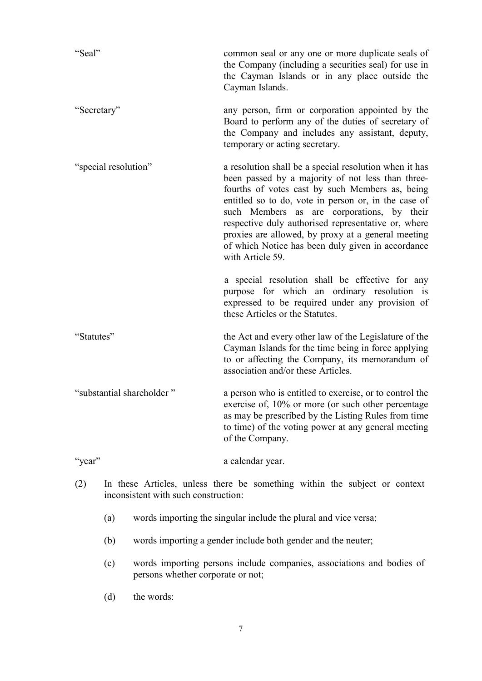| "Seal"                    | common seal or any one or more duplicate seals of<br>the Company (including a securities seal) for use in<br>the Cayman Islands or in any place outside the<br>Cayman Islands.                                                                                                                                                                                                                                                                             |
|---------------------------|------------------------------------------------------------------------------------------------------------------------------------------------------------------------------------------------------------------------------------------------------------------------------------------------------------------------------------------------------------------------------------------------------------------------------------------------------------|
| "Secretary"               | any person, firm or corporation appointed by the<br>Board to perform any of the duties of secretary of<br>the Company and includes any assistant, deputy,<br>temporary or acting secretary.                                                                                                                                                                                                                                                                |
| "special resolution"      | a resolution shall be a special resolution when it has<br>been passed by a majority of not less than three-<br>fourths of votes cast by such Members as, being<br>entitled so to do, vote in person or, in the case of<br>such Members as are corporations, by their<br>respective duly authorised representative or, where<br>proxies are allowed, by proxy at a general meeting<br>of which Notice has been duly given in accordance<br>with Article 59. |
|                           | a special resolution shall be effective for any<br>purpose for which an ordinary resolution is<br>expressed to be required under any provision of<br>these Articles or the Statutes.                                                                                                                                                                                                                                                                       |
| "Statutes"                | the Act and every other law of the Legislature of the<br>Cayman Islands for the time being in force applying<br>to or affecting the Company, its memorandum of<br>association and/or these Articles.                                                                                                                                                                                                                                                       |
| "substantial shareholder" | a person who is entitled to exercise, or to control the<br>exercise of, 10% or more (or such other percentage<br>as may be prescribed by the Listing Rules from time<br>to time) of the voting power at any general meeting<br>of the Company.                                                                                                                                                                                                             |

"year" a calendar year.

- (2) In these Articles, unless there be something within the subject or context inconsistent with such construction:
	- (a) words importing the singular include the plural and vice versa;
	- (b) words importing a gender include both gender and the neuter;
	- (c) words importing persons include companies, associations and bodies of persons whether corporate or not;
	- (d) the words: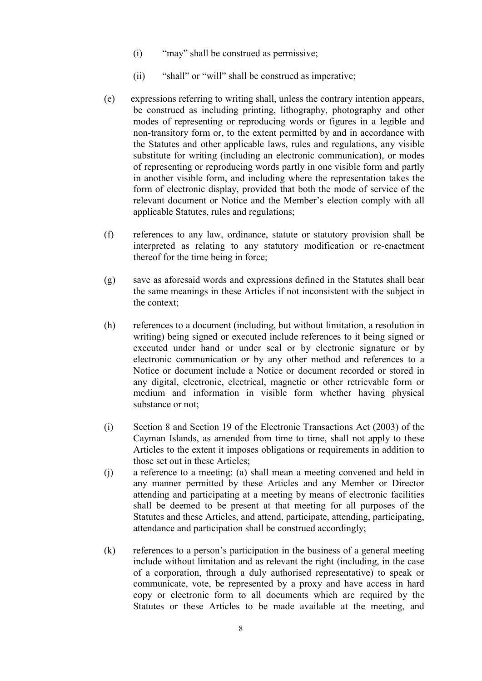- (i) "may" shall be construed as permissive;
- (ii) "shall" or "will" shall be construed as imperative;
- (e) expressions referring to writing shall, unless the contrary intention appears, be construed as including printing, lithography, photography and other modes of representing or reproducing words or figures in a legible and non-transitory form or, to the extent permitted by and in accordance with the Statutes and other applicable laws, rules and regulations, any visible substitute for writing (including an electronic communication), or modes of representing or reproducing words partly in one visible form and partly in another visible form, and including where the representation takes the form of electronic display, provided that both the mode of service of the relevant document or Notice and the Member's election comply with all applicable Statutes, rules and regulations;
- (f) references to any law, ordinance, statute or statutory provision shall be interpreted as relating to any statutory modification or re-enactment thereof for the time being in force;
- (g) save as aforesaid words and expressions defined in the Statutes shall bear the same meanings in these Articles if not inconsistent with the subject in the context;
- (h) references to a document (including, but without limitation, a resolution in writing) being signed or executed include references to it being signed or executed under hand or under seal or by electronic signature or by electronic communication or by any other method and references to a Notice or document include a Notice or document recorded or stored in any digital, electronic, electrical, magnetic or other retrievable form or medium and information in visible form whether having physical substance or not;
- (i) Section 8 and Section 19 of the Electronic Transactions Act (2003) of the Cayman Islands, as amended from time to time, shall not apply to these Articles to the extent it imposes obligations or requirements in addition to those set out in these Articles;
- (j) a reference to a meeting: (a) shall mean a meeting convened and held in any manner permitted by these Articles and any Member or Director attending and participating at a meeting by means of electronic facilities shall be deemed to be present at that meeting for all purposes of the Statutes and these Articles, and attend, participate, attending, participating, attendance and participation shall be construed accordingly;
- (k) references to a person's participation in the business of a general meeting include without limitation and as relevant the right (including, in the case of a corporation, through a duly authorised representative) to speak or communicate, vote, be represented by a proxy and have access in hard copy or electronic form to all documents which are required by the Statutes or these Articles to be made available at the meeting, and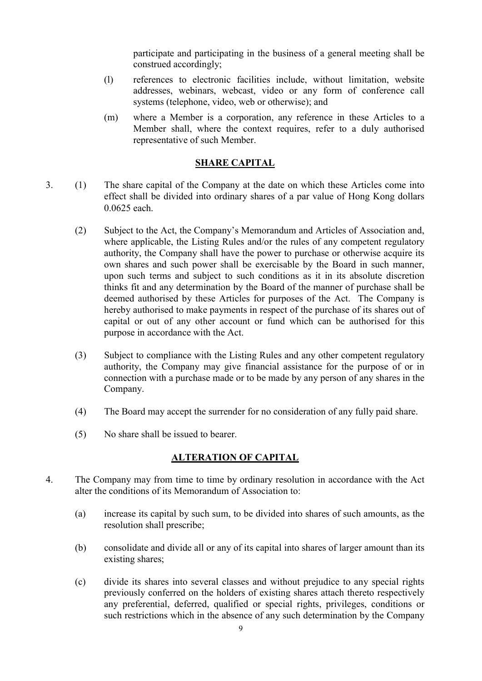participate and participating in the business of a general meeting shall be construed accordingly;

- (l) references to electronic facilities include, without limitation, website addresses, webinars, webcast, video or any form of conference call systems (telephone, video, web or otherwise); and
- (m) where a Member is a corporation, any reference in these Articles to a Member shall, where the context requires, refer to a duly authorised representative of such Member.

## SHARE CAPITAL

- 3. (1) The share capital of the Company at the date on which these Articles come into effect shall be divided into ordinary shares of a par value of Hong Kong dollars 0.0625 each.
	- (2) Subject to the Act, the Company's Memorandum and Articles of Association and, where applicable, the Listing Rules and/or the rules of any competent regulatory authority, the Company shall have the power to purchase or otherwise acquire its own shares and such power shall be exercisable by the Board in such manner, upon such terms and subject to such conditions as it in its absolute discretion thinks fit and any determination by the Board of the manner of purchase shall be deemed authorised by these Articles for purposes of the Act. The Company is hereby authorised to make payments in respect of the purchase of its shares out of capital or out of any other account or fund which can be authorised for this purpose in accordance with the Act.
	- (3) Subject to compliance with the Listing Rules and any other competent regulatory authority, the Company may give financial assistance for the purpose of or in connection with a purchase made or to be made by any person of any shares in the Company.
	- (4) The Board may accept the surrender for no consideration of any fully paid share.
	- (5) No share shall be issued to bearer.

#### ALTERATION OF CAPITAL

- 4. The Company may from time to time by ordinary resolution in accordance with the Act alter the conditions of its Memorandum of Association to:
	- (a) increase its capital by such sum, to be divided into shares of such amounts, as the resolution shall prescribe;
	- (b) consolidate and divide all or any of its capital into shares of larger amount than its existing shares;
	- (c) divide its shares into several classes and without prejudice to any special rights previously conferred on the holders of existing shares attach thereto respectively any preferential, deferred, qualified or special rights, privileges, conditions or such restrictions which in the absence of any such determination by the Company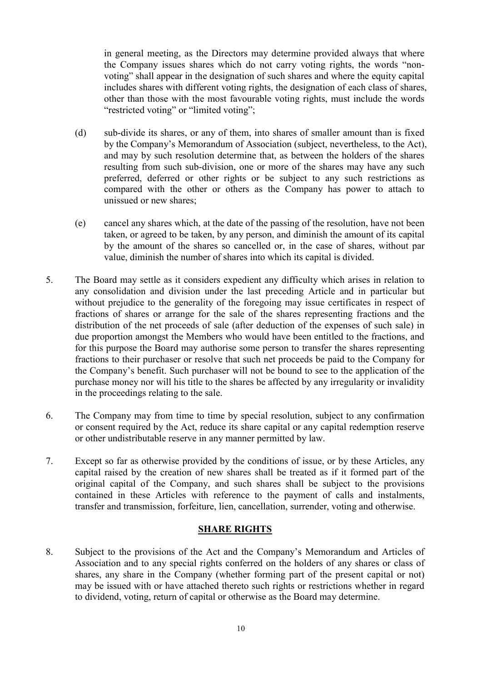in general meeting, as the Directors may determine provided always that where the Company issues shares which do not carry voting rights, the words "nonvoting" shall appear in the designation of such shares and where the equity capital includes shares with different voting rights, the designation of each class of shares, other than those with the most favourable voting rights, must include the words "restricted voting" or "limited voting";

- (d) sub-divide its shares, or any of them, into shares of smaller amount than is fixed by the Company's Memorandum of Association (subject, nevertheless, to the Act), and may by such resolution determine that, as between the holders of the shares resulting from such sub-division, one or more of the shares may have any such preferred, deferred or other rights or be subject to any such restrictions as compared with the other or others as the Company has power to attach to unissued or new shares;
- (e) cancel any shares which, at the date of the passing of the resolution, have not been taken, or agreed to be taken, by any person, and diminish the amount of its capital by the amount of the shares so cancelled or, in the case of shares, without par value, diminish the number of shares into which its capital is divided.
- 5. The Board may settle as it considers expedient any difficulty which arises in relation to any consolidation and division under the last preceding Article and in particular but without prejudice to the generality of the foregoing may issue certificates in respect of fractions of shares or arrange for the sale of the shares representing fractions and the distribution of the net proceeds of sale (after deduction of the expenses of such sale) in due proportion amongst the Members who would have been entitled to the fractions, and for this purpose the Board may authorise some person to transfer the shares representing fractions to their purchaser or resolve that such net proceeds be paid to the Company for the Company's benefit. Such purchaser will not be bound to see to the application of the purchase money nor will his title to the shares be affected by any irregularity or invalidity in the proceedings relating to the sale.
- 6. The Company may from time to time by special resolution, subject to any confirmation or consent required by the Act, reduce its share capital or any capital redemption reserve or other undistributable reserve in any manner permitted by law.
- 7. Except so far as otherwise provided by the conditions of issue, or by these Articles, any capital raised by the creation of new shares shall be treated as if it formed part of the original capital of the Company, and such shares shall be subject to the provisions contained in these Articles with reference to the payment of calls and instalments, transfer and transmission, forfeiture, lien, cancellation, surrender, voting and otherwise.

## SHARE RIGHTS

8. Subject to the provisions of the Act and the Company's Memorandum and Articles of Association and to any special rights conferred on the holders of any shares or class of shares, any share in the Company (whether forming part of the present capital or not) may be issued with or have attached thereto such rights or restrictions whether in regard to dividend, voting, return of capital or otherwise as the Board may determine.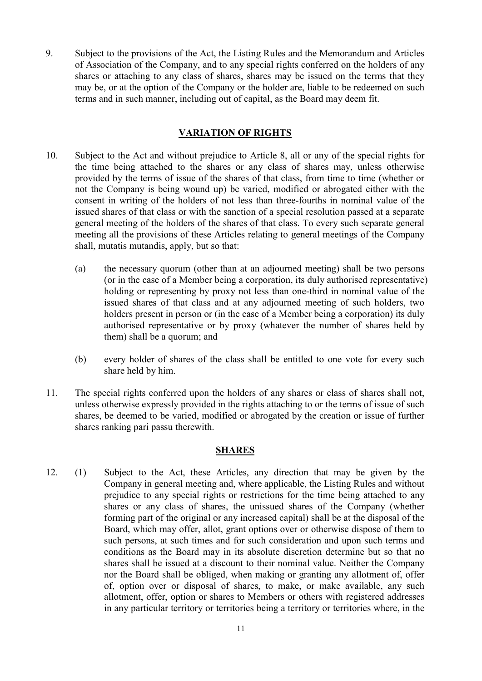9. Subject to the provisions of the Act, the Listing Rules and the Memorandum and Articles of Association of the Company, and to any special rights conferred on the holders of any shares or attaching to any class of shares, shares may be issued on the terms that they may be, or at the option of the Company or the holder are, liable to be redeemed on such terms and in such manner, including out of capital, as the Board may deem fit.

## VARIATION OF RIGHTS

- 10. Subject to the Act and without prejudice to Article 8, all or any of the special rights for the time being attached to the shares or any class of shares may, unless otherwise provided by the terms of issue of the shares of that class, from time to time (whether or not the Company is being wound up) be varied, modified or abrogated either with the consent in writing of the holders of not less than three-fourths in nominal value of the issued shares of that class or with the sanction of a special resolution passed at a separate general meeting of the holders of the shares of that class. To every such separate general meeting all the provisions of these Articles relating to general meetings of the Company shall, mutatis mutandis, apply, but so that:
	- (a) the necessary quorum (other than at an adjourned meeting) shall be two persons (or in the case of a Member being a corporation, its duly authorised representative) holding or representing by proxy not less than one-third in nominal value of the issued shares of that class and at any adjourned meeting of such holders, two holders present in person or (in the case of a Member being a corporation) its duly authorised representative or by proxy (whatever the number of shares held by them) shall be a quorum; and
	- (b) every holder of shares of the class shall be entitled to one vote for every such share held by him.
- 11. The special rights conferred upon the holders of any shares or class of shares shall not, unless otherwise expressly provided in the rights attaching to or the terms of issue of such shares, be deemed to be varied, modified or abrogated by the creation or issue of further shares ranking pari passu therewith.

## SHARES

12. (1) Subject to the Act, these Articles, any direction that may be given by the Company in general meeting and, where applicable, the Listing Rules and without prejudice to any special rights or restrictions for the time being attached to any shares or any class of shares, the unissued shares of the Company (whether forming part of the original or any increased capital) shall be at the disposal of the Board, which may offer, allot, grant options over or otherwise dispose of them to such persons, at such times and for such consideration and upon such terms and conditions as the Board may in its absolute discretion determine but so that no shares shall be issued at a discount to their nominal value. Neither the Company nor the Board shall be obliged, when making or granting any allotment of, offer of, option over or disposal of shares, to make, or make available, any such allotment, offer, option or shares to Members or others with registered addresses in any particular territory or territories being a territory or territories where, in the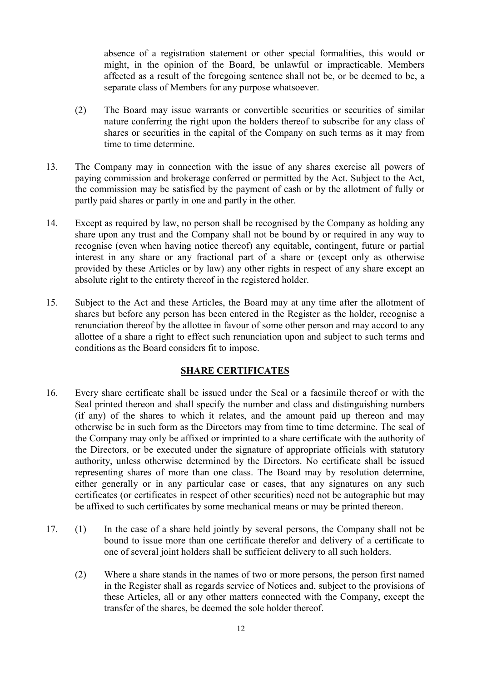absence of a registration statement or other special formalities, this would or might, in the opinion of the Board, be unlawful or impracticable. Members affected as a result of the foregoing sentence shall not be, or be deemed to be, a separate class of Members for any purpose whatsoever.

- (2) The Board may issue warrants or convertible securities or securities of similar nature conferring the right upon the holders thereof to subscribe for any class of shares or securities in the capital of the Company on such terms as it may from time to time determine.
- 13. The Company may in connection with the issue of any shares exercise all powers of paying commission and brokerage conferred or permitted by the Act. Subject to the Act, the commission may be satisfied by the payment of cash or by the allotment of fully or partly paid shares or partly in one and partly in the other.
- 14. Except as required by law, no person shall be recognised by the Company as holding any share upon any trust and the Company shall not be bound by or required in any way to recognise (even when having notice thereof) any equitable, contingent, future or partial interest in any share or any fractional part of a share or (except only as otherwise provided by these Articles or by law) any other rights in respect of any share except an absolute right to the entirety thereof in the registered holder.
- 15. Subject to the Act and these Articles, the Board may at any time after the allotment of shares but before any person has been entered in the Register as the holder, recognise a renunciation thereof by the allottee in favour of some other person and may accord to any allottee of a share a right to effect such renunciation upon and subject to such terms and conditions as the Board considers fit to impose.

# SHARE CERTIFICATES

- 16. Every share certificate shall be issued under the Seal or a facsimile thereof or with the Seal printed thereon and shall specify the number and class and distinguishing numbers (if any) of the shares to which it relates, and the amount paid up thereon and may otherwise be in such form as the Directors may from time to time determine. The seal of the Company may only be affixed or imprinted to a share certificate with the authority of the Directors, or be executed under the signature of appropriate officials with statutory authority, unless otherwise determined by the Directors. No certificate shall be issued representing shares of more than one class. The Board may by resolution determine, either generally or in any particular case or cases, that any signatures on any such certificates (or certificates in respect of other securities) need not be autographic but may be affixed to such certificates by some mechanical means or may be printed thereon.
- 17. (1) In the case of a share held jointly by several persons, the Company shall not be bound to issue more than one certificate therefor and delivery of a certificate to one of several joint holders shall be sufficient delivery to all such holders.
	- (2) Where a share stands in the names of two or more persons, the person first named in the Register shall as regards service of Notices and, subject to the provisions of these Articles, all or any other matters connected with the Company, except the transfer of the shares, be deemed the sole holder thereof.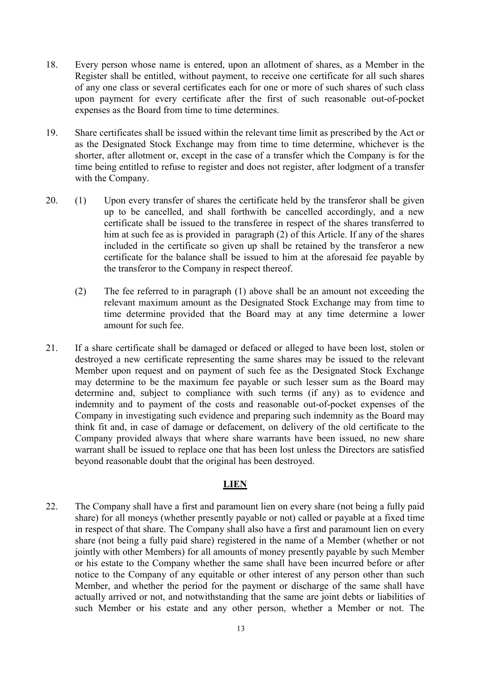- 18. Every person whose name is entered, upon an allotment of shares, as a Member in the Register shall be entitled, without payment, to receive one certificate for all such shares of any one class or several certificates each for one or more of such shares of such class upon payment for every certificate after the first of such reasonable out-of-pocket expenses as the Board from time to time determines.
- 19. Share certificates shall be issued within the relevant time limit as prescribed by the Act or as the Designated Stock Exchange may from time to time determine, whichever is the shorter, after allotment or, except in the case of a transfer which the Company is for the time being entitled to refuse to register and does not register, after lodgment of a transfer with the Company.
- 20. (1) Upon every transfer of shares the certificate held by the transferor shall be given up to be cancelled, and shall forthwith be cancelled accordingly, and a new certificate shall be issued to the transferee in respect of the shares transferred to him at such fee as is provided in paragraph (2) of this Article. If any of the shares included in the certificate so given up shall be retained by the transferor a new certificate for the balance shall be issued to him at the aforesaid fee payable by the transferor to the Company in respect thereof.
	- (2) The fee referred to in paragraph (1) above shall be an amount not exceeding the relevant maximum amount as the Designated Stock Exchange may from time to time determine provided that the Board may at any time determine a lower amount for such fee.
- 21. If a share certificate shall be damaged or defaced or alleged to have been lost, stolen or destroyed a new certificate representing the same shares may be issued to the relevant Member upon request and on payment of such fee as the Designated Stock Exchange may determine to be the maximum fee payable or such lesser sum as the Board may determine and, subject to compliance with such terms (if any) as to evidence and indemnity and to payment of the costs and reasonable out-of-pocket expenses of the Company in investigating such evidence and preparing such indemnity as the Board may think fit and, in case of damage or defacement, on delivery of the old certificate to the Company provided always that where share warrants have been issued, no new share warrant shall be issued to replace one that has been lost unless the Directors are satisfied beyond reasonable doubt that the original has been destroyed.

## LIEN

22. The Company shall have a first and paramount lien on every share (not being a fully paid share) for all moneys (whether presently payable or not) called or payable at a fixed time in respect of that share. The Company shall also have a first and paramount lien on every share (not being a fully paid share) registered in the name of a Member (whether or not jointly with other Members) for all amounts of money presently payable by such Member or his estate to the Company whether the same shall have been incurred before or after notice to the Company of any equitable or other interest of any person other than such Member, and whether the period for the payment or discharge of the same shall have actually arrived or not, and notwithstanding that the same are joint debts or liabilities of such Member or his estate and any other person, whether a Member or not. The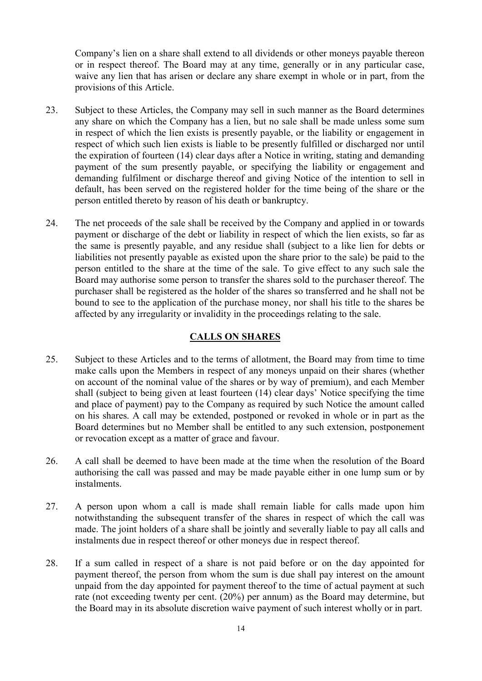Company's lien on a share shall extend to all dividends or other moneys payable thereon or in respect thereof. The Board may at any time, generally or in any particular case, waive any lien that has arisen or declare any share exempt in whole or in part, from the provisions of this Article.

- 23. Subject to these Articles, the Company may sell in such manner as the Board determines any share on which the Company has a lien, but no sale shall be made unless some sum in respect of which the lien exists is presently payable, or the liability or engagement in respect of which such lien exists is liable to be presently fulfilled or discharged nor until the expiration of fourteen (14) clear days after a Notice in writing, stating and demanding payment of the sum presently payable, or specifying the liability or engagement and demanding fulfilment or discharge thereof and giving Notice of the intention to sell in default, has been served on the registered holder for the time being of the share or the person entitled thereto by reason of his death or bankruptcy.
- 24. The net proceeds of the sale shall be received by the Company and applied in or towards payment or discharge of the debt or liability in respect of which the lien exists, so far as the same is presently payable, and any residue shall (subject to a like lien for debts or liabilities not presently payable as existed upon the share prior to the sale) be paid to the person entitled to the share at the time of the sale. To give effect to any such sale the Board may authorise some person to transfer the shares sold to the purchaser thereof. The purchaser shall be registered as the holder of the shares so transferred and he shall not be bound to see to the application of the purchase money, nor shall his title to the shares be affected by any irregularity or invalidity in the proceedings relating to the sale.

## CALLS ON SHARES

- 25. Subject to these Articles and to the terms of allotment, the Board may from time to time make calls upon the Members in respect of any moneys unpaid on their shares (whether on account of the nominal value of the shares or by way of premium), and each Member shall (subject to being given at least fourteen (14) clear days' Notice specifying the time and place of payment) pay to the Company as required by such Notice the amount called on his shares. A call may be extended, postponed or revoked in whole or in part as the Board determines but no Member shall be entitled to any such extension, postponement or revocation except as a matter of grace and favour.
- 26. A call shall be deemed to have been made at the time when the resolution of the Board authorising the call was passed and may be made payable either in one lump sum or by instalments.
- 27. A person upon whom a call is made shall remain liable for calls made upon him notwithstanding the subsequent transfer of the shares in respect of which the call was made. The joint holders of a share shall be jointly and severally liable to pay all calls and instalments due in respect thereof or other moneys due in respect thereof.
- 28. If a sum called in respect of a share is not paid before or on the day appointed for payment thereof, the person from whom the sum is due shall pay interest on the amount unpaid from the day appointed for payment thereof to the time of actual payment at such rate (not exceeding twenty per cent. (20%) per annum) as the Board may determine, but the Board may in its absolute discretion waive payment of such interest wholly or in part.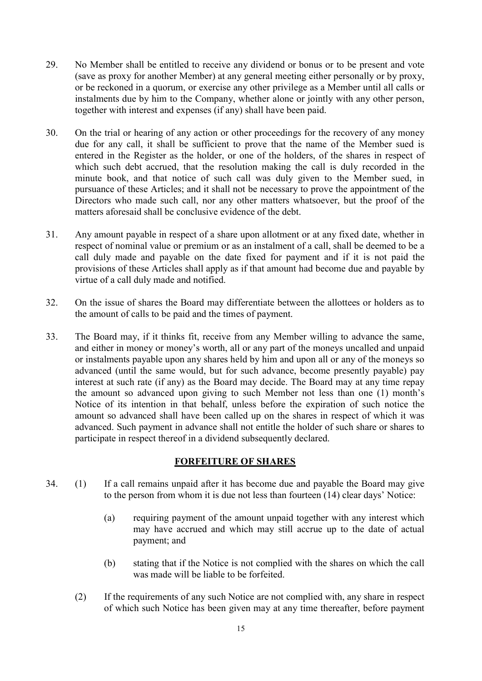- 29. No Member shall be entitled to receive any dividend or bonus or to be present and vote (save as proxy for another Member) at any general meeting either personally or by proxy, or be reckoned in a quorum, or exercise any other privilege as a Member until all calls or instalments due by him to the Company, whether alone or jointly with any other person, together with interest and expenses (if any) shall have been paid.
- 30. On the trial or hearing of any action or other proceedings for the recovery of any money due for any call, it shall be sufficient to prove that the name of the Member sued is entered in the Register as the holder, or one of the holders, of the shares in respect of which such debt accrued, that the resolution making the call is duly recorded in the minute book, and that notice of such call was duly given to the Member sued, in pursuance of these Articles; and it shall not be necessary to prove the appointment of the Directors who made such call, nor any other matters whatsoever, but the proof of the matters aforesaid shall be conclusive evidence of the debt.
- 31. Any amount payable in respect of a share upon allotment or at any fixed date, whether in respect of nominal value or premium or as an instalment of a call, shall be deemed to be a call duly made and payable on the date fixed for payment and if it is not paid the provisions of these Articles shall apply as if that amount had become due and payable by virtue of a call duly made and notified.
- 32. On the issue of shares the Board may differentiate between the allottees or holders as to the amount of calls to be paid and the times of payment.
- 33. The Board may, if it thinks fit, receive from any Member willing to advance the same, and either in money or money's worth, all or any part of the moneys uncalled and unpaid or instalments payable upon any shares held by him and upon all or any of the moneys so advanced (until the same would, but for such advance, become presently payable) pay interest at such rate (if any) as the Board may decide. The Board may at any time repay the amount so advanced upon giving to such Member not less than one (1) month's Notice of its intention in that behalf, unless before the expiration of such notice the amount so advanced shall have been called up on the shares in respect of which it was advanced. Such payment in advance shall not entitle the holder of such share or shares to participate in respect thereof in a dividend subsequently declared.

# FORFEITURE OF SHARES

- 34. (1) If a call remains unpaid after it has become due and payable the Board may give to the person from whom it is due not less than fourteen (14) clear days' Notice:
	- (a) requiring payment of the amount unpaid together with any interest which may have accrued and which may still accrue up to the date of actual payment; and
	- (b) stating that if the Notice is not complied with the shares on which the call was made will be liable to be forfeited.
	- (2) If the requirements of any such Notice are not complied with, any share in respect of which such Notice has been given may at any time thereafter, before payment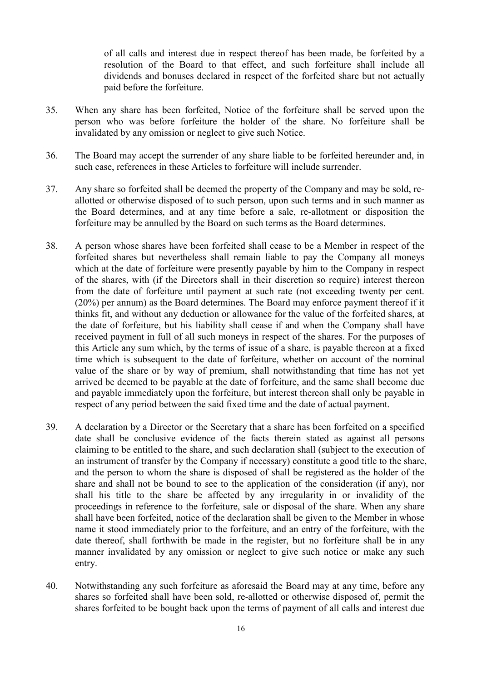of all calls and interest due in respect thereof has been made, be forfeited by a resolution of the Board to that effect, and such forfeiture shall include all dividends and bonuses declared in respect of the forfeited share but not actually paid before the forfeiture.

- 35. When any share has been forfeited, Notice of the forfeiture shall be served upon the person who was before forfeiture the holder of the share. No forfeiture shall be invalidated by any omission or neglect to give such Notice.
- 36. The Board may accept the surrender of any share liable to be forfeited hereunder and, in such case, references in these Articles to forfeiture will include surrender.
- 37. Any share so forfeited shall be deemed the property of the Company and may be sold, reallotted or otherwise disposed of to such person, upon such terms and in such manner as the Board determines, and at any time before a sale, re-allotment or disposition the forfeiture may be annulled by the Board on such terms as the Board determines.
- 38. A person whose shares have been forfeited shall cease to be a Member in respect of the forfeited shares but nevertheless shall remain liable to pay the Company all moneys which at the date of forfeiture were presently payable by him to the Company in respect of the shares, with (if the Directors shall in their discretion so require) interest thereon from the date of forfeiture until payment at such rate (not exceeding twenty per cent. (20%) per annum) as the Board determines. The Board may enforce payment thereof if it thinks fit, and without any deduction or allowance for the value of the forfeited shares, at the date of forfeiture, but his liability shall cease if and when the Company shall have received payment in full of all such moneys in respect of the shares. For the purposes of this Article any sum which, by the terms of issue of a share, is payable thereon at a fixed time which is subsequent to the date of forfeiture, whether on account of the nominal value of the share or by way of premium, shall notwithstanding that time has not yet arrived be deemed to be payable at the date of forfeiture, and the same shall become due and payable immediately upon the forfeiture, but interest thereon shall only be payable in respect of any period between the said fixed time and the date of actual payment.
- 39. A declaration by a Director or the Secretary that a share has been forfeited on a specified date shall be conclusive evidence of the facts therein stated as against all persons claiming to be entitled to the share, and such declaration shall (subject to the execution of an instrument of transfer by the Company if necessary) constitute a good title to the share, and the person to whom the share is disposed of shall be registered as the holder of the share and shall not be bound to see to the application of the consideration (if any), nor shall his title to the share be affected by any irregularity in or invalidity of the proceedings in reference to the forfeiture, sale or disposal of the share. When any share shall have been forfeited, notice of the declaration shall be given to the Member in whose name it stood immediately prior to the forfeiture, and an entry of the forfeiture, with the date thereof, shall forthwith be made in the register, but no forfeiture shall be in any manner invalidated by any omission or neglect to give such notice or make any such entry.
- 40. Notwithstanding any such forfeiture as aforesaid the Board may at any time, before any shares so forfeited shall have been sold, re-allotted or otherwise disposed of, permit the shares forfeited to be bought back upon the terms of payment of all calls and interest due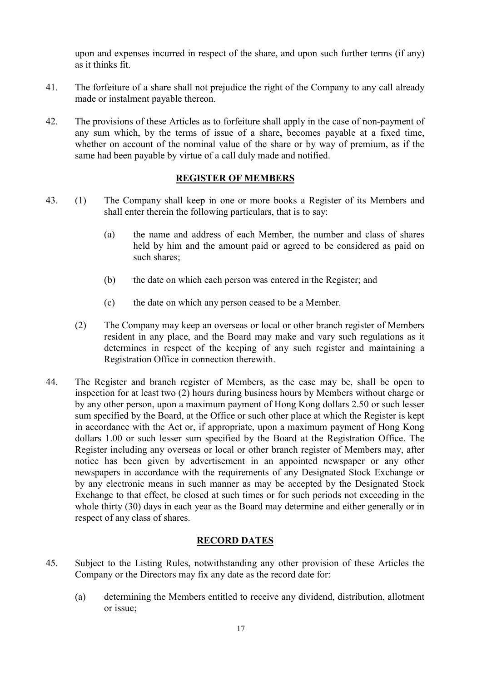upon and expenses incurred in respect of the share, and upon such further terms (if any) as it thinks fit.

- 41. The forfeiture of a share shall not prejudice the right of the Company to any call already made or instalment payable thereon.
- 42. The provisions of these Articles as to forfeiture shall apply in the case of non-payment of any sum which, by the terms of issue of a share, becomes payable at a fixed time, whether on account of the nominal value of the share or by way of premium, as if the same had been payable by virtue of a call duly made and notified.

## REGISTER OF MEMBERS

- 43. (1) The Company shall keep in one or more books a Register of its Members and shall enter therein the following particulars, that is to say:
	- (a) the name and address of each Member, the number and class of shares held by him and the amount paid or agreed to be considered as paid on such shares;
	- (b) the date on which each person was entered in the Register; and
	- (c) the date on which any person ceased to be a Member.
	- (2) The Company may keep an overseas or local or other branch register of Members resident in any place, and the Board may make and vary such regulations as it determines in respect of the keeping of any such register and maintaining a Registration Office in connection therewith.
- 44. The Register and branch register of Members, as the case may be, shall be open to inspection for at least two (2) hours during business hours by Members without charge or by any other person, upon a maximum payment of Hong Kong dollars 2.50 or such lesser sum specified by the Board, at the Office or such other place at which the Register is kept in accordance with the Act or, if appropriate, upon a maximum payment of Hong Kong dollars 1.00 or such lesser sum specified by the Board at the Registration Office. The Register including any overseas or local or other branch register of Members may, after notice has been given by advertisement in an appointed newspaper or any other newspapers in accordance with the requirements of any Designated Stock Exchange or by any electronic means in such manner as may be accepted by the Designated Stock Exchange to that effect, be closed at such times or for such periods not exceeding in the whole thirty (30) days in each year as the Board may determine and either generally or in respect of any class of shares.

### RECORD DATES

- 45. Subject to the Listing Rules, notwithstanding any other provision of these Articles the Company or the Directors may fix any date as the record date for:
	- (a) determining the Members entitled to receive any dividend, distribution, allotment or issue;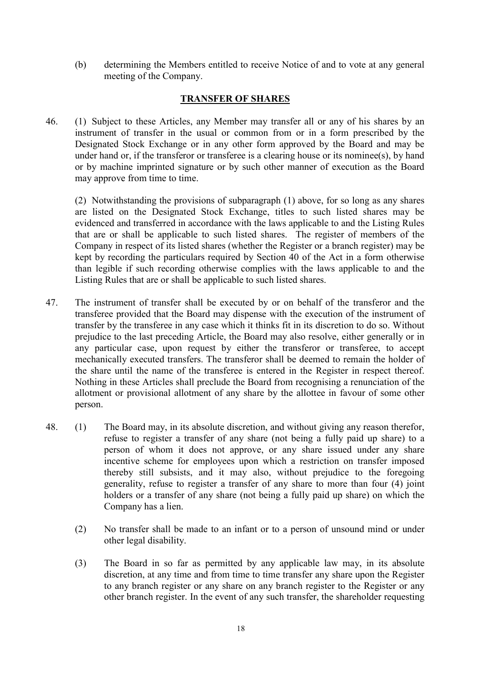(b) determining the Members entitled to receive Notice of and to vote at any general meeting of the Company.

## TRANSFER OF SHARES

46. (1) Subject to these Articles, any Member may transfer all or any of his shares by an instrument of transfer in the usual or common from or in a form prescribed by the Designated Stock Exchange or in any other form approved by the Board and may be under hand or, if the transferor or transferee is a clearing house or its nominee(s), by hand or by machine imprinted signature or by such other manner of execution as the Board may approve from time to time.

(2) Notwithstanding the provisions of subparagraph (1) above, for so long as any shares are listed on the Designated Stock Exchange, titles to such listed shares may be evidenced and transferred in accordance with the laws applicable to and the Listing Rules that are or shall be applicable to such listed shares. The register of members of the Company in respect of its listed shares (whether the Register or a branch register) may be kept by recording the particulars required by Section 40 of the Act in a form otherwise than legible if such recording otherwise complies with the laws applicable to and the Listing Rules that are or shall be applicable to such listed shares.

- 47. The instrument of transfer shall be executed by or on behalf of the transferor and the transferee provided that the Board may dispense with the execution of the instrument of transfer by the transferee in any case which it thinks fit in its discretion to do so. Without prejudice to the last preceding Article, the Board may also resolve, either generally or in any particular case, upon request by either the transferor or transferee, to accept mechanically executed transfers. The transferor shall be deemed to remain the holder of the share until the name of the transferee is entered in the Register in respect thereof. Nothing in these Articles shall preclude the Board from recognising a renunciation of the allotment or provisional allotment of any share by the allottee in favour of some other person.
- 48. (1) The Board may, in its absolute discretion, and without giving any reason therefor, refuse to register a transfer of any share (not being a fully paid up share) to a person of whom it does not approve, or any share issued under any share incentive scheme for employees upon which a restriction on transfer imposed thereby still subsists, and it may also, without prejudice to the foregoing generality, refuse to register a transfer of any share to more than four (4) joint holders or a transfer of any share (not being a fully paid up share) on which the Company has a lien.
	- (2) No transfer shall be made to an infant or to a person of unsound mind or under other legal disability.
	- (3) The Board in so far as permitted by any applicable law may, in its absolute discretion, at any time and from time to time transfer any share upon the Register to any branch register or any share on any branch register to the Register or any other branch register. In the event of any such transfer, the shareholder requesting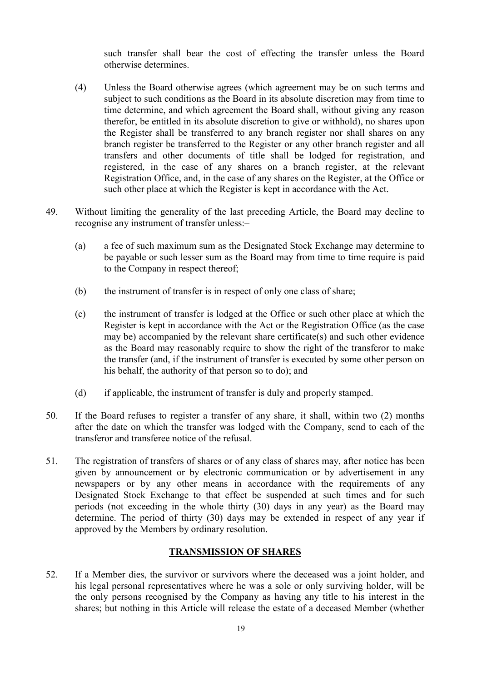such transfer shall bear the cost of effecting the transfer unless the Board otherwise determines.

- (4) Unless the Board otherwise agrees (which agreement may be on such terms and subject to such conditions as the Board in its absolute discretion may from time to time determine, and which agreement the Board shall, without giving any reason therefor, be entitled in its absolute discretion to give or withhold), no shares upon the Register shall be transferred to any branch register nor shall shares on any branch register be transferred to the Register or any other branch register and all transfers and other documents of title shall be lodged for registration, and registered, in the case of any shares on a branch register, at the relevant Registration Office, and, in the case of any shares on the Register, at the Office or such other place at which the Register is kept in accordance with the Act.
- 49. Without limiting the generality of the last preceding Article, the Board may decline to recognise any instrument of transfer unless:–
	- (a) a fee of such maximum sum as the Designated Stock Exchange may determine to be payable or such lesser sum as the Board may from time to time require is paid to the Company in respect thereof;
	- (b) the instrument of transfer is in respect of only one class of share;
	- (c) the instrument of transfer is lodged at the Office or such other place at which the Register is kept in accordance with the Act or the Registration Office (as the case may be) accompanied by the relevant share certificate(s) and such other evidence as the Board may reasonably require to show the right of the transferor to make the transfer (and, if the instrument of transfer is executed by some other person on his behalf, the authority of that person so to do); and
	- (d) if applicable, the instrument of transfer is duly and properly stamped.
- 50. If the Board refuses to register a transfer of any share, it shall, within two (2) months after the date on which the transfer was lodged with the Company, send to each of the transferor and transferee notice of the refusal.
- 51. The registration of transfers of shares or of any class of shares may, after notice has been given by announcement or by electronic communication or by advertisement in any newspapers or by any other means in accordance with the requirements of any Designated Stock Exchange to that effect be suspended at such times and for such periods (not exceeding in the whole thirty (30) days in any year) as the Board may determine. The period of thirty (30) days may be extended in respect of any year if approved by the Members by ordinary resolution.

## TRANSMISSION OF SHARES

52. If a Member dies, the survivor or survivors where the deceased was a joint holder, and his legal personal representatives where he was a sole or only surviving holder, will be the only persons recognised by the Company as having any title to his interest in the shares; but nothing in this Article will release the estate of a deceased Member (whether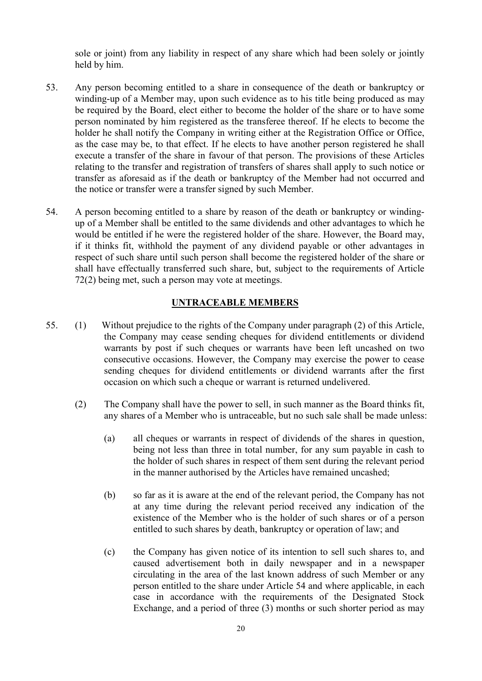sole or joint) from any liability in respect of any share which had been solely or jointly held by him.

- 53. Any person becoming entitled to a share in consequence of the death or bankruptcy or winding-up of a Member may, upon such evidence as to his title being produced as may be required by the Board, elect either to become the holder of the share or to have some person nominated by him registered as the transferee thereof. If he elects to become the holder he shall notify the Company in writing either at the Registration Office or Office, as the case may be, to that effect. If he elects to have another person registered he shall execute a transfer of the share in favour of that person. The provisions of these Articles relating to the transfer and registration of transfers of shares shall apply to such notice or transfer as aforesaid as if the death or bankruptcy of the Member had not occurred and the notice or transfer were a transfer signed by such Member.
- 54. A person becoming entitled to a share by reason of the death or bankruptcy or windingup of a Member shall be entitled to the same dividends and other advantages to which he would be entitled if he were the registered holder of the share. However, the Board may, if it thinks fit, withhold the payment of any dividend payable or other advantages in respect of such share until such person shall become the registered holder of the share or shall have effectually transferred such share, but, subject to the requirements of Article 72(2) being met, such a person may vote at meetings.

### UNTRACEABLE MEMBERS

- 55. (1) Without prejudice to the rights of the Company under paragraph (2) of this Article, the Company may cease sending cheques for dividend entitlements or dividend warrants by post if such cheques or warrants have been left uncashed on two consecutive occasions. However, the Company may exercise the power to cease sending cheques for dividend entitlements or dividend warrants after the first occasion on which such a cheque or warrant is returned undelivered.
	- (2) The Company shall have the power to sell, in such manner as the Board thinks fit, any shares of a Member who is untraceable, but no such sale shall be made unless:
		- (a) all cheques or warrants in respect of dividends of the shares in question, being not less than three in total number, for any sum payable in cash to the holder of such shares in respect of them sent during the relevant period in the manner authorised by the Articles have remained uncashed;
		- (b) so far as it is aware at the end of the relevant period, the Company has not at any time during the relevant period received any indication of the existence of the Member who is the holder of such shares or of a person entitled to such shares by death, bankruptcy or operation of law; and
		- (c) the Company has given notice of its intention to sell such shares to, and caused advertisement both in daily newspaper and in a newspaper circulating in the area of the last known address of such Member or any person entitled to the share under Article 54 and where applicable, in each case in accordance with the requirements of the Designated Stock Exchange, and a period of three (3) months or such shorter period as may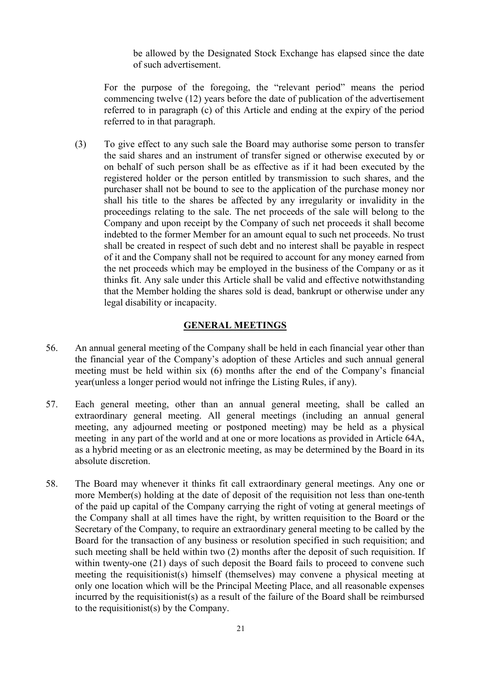be allowed by the Designated Stock Exchange has elapsed since the date of such advertisement.

For the purpose of the foregoing, the "relevant period" means the period commencing twelve (12) years before the date of publication of the advertisement referred to in paragraph (c) of this Article and ending at the expiry of the period referred to in that paragraph.

(3) To give effect to any such sale the Board may authorise some person to transfer the said shares and an instrument of transfer signed or otherwise executed by or on behalf of such person shall be as effective as if it had been executed by the registered holder or the person entitled by transmission to such shares, and the purchaser shall not be bound to see to the application of the purchase money nor shall his title to the shares be affected by any irregularity or invalidity in the proceedings relating to the sale. The net proceeds of the sale will belong to the Company and upon receipt by the Company of such net proceeds it shall become indebted to the former Member for an amount equal to such net proceeds. No trust shall be created in respect of such debt and no interest shall be payable in respect of it and the Company shall not be required to account for any money earned from the net proceeds which may be employed in the business of the Company or as it thinks fit. Any sale under this Article shall be valid and effective notwithstanding that the Member holding the shares sold is dead, bankrupt or otherwise under any legal disability or incapacity.

## GENERAL MEETINGS

- 56. An annual general meeting of the Company shall be held in each financial year other than the financial year of the Company's adoption of these Articles and such annual general meeting must be held within six (6) months after the end of the Company's financial year(unless a longer period would not infringe the Listing Rules, if any).
- 57. Each general meeting, other than an annual general meeting, shall be called an extraordinary general meeting. All general meetings (including an annual general meeting, any adjourned meeting or postponed meeting) may be held as a physical meeting in any part of the world and at one or more locations as provided in Article 64A, as a hybrid meeting or as an electronic meeting, as may be determined by the Board in its absolute discretion.
- 58. The Board may whenever it thinks fit call extraordinary general meetings. Any one or more Member(s) holding at the date of deposit of the requisition not less than one-tenth of the paid up capital of the Company carrying the right of voting at general meetings of the Company shall at all times have the right, by written requisition to the Board or the Secretary of the Company, to require an extraordinary general meeting to be called by the Board for the transaction of any business or resolution specified in such requisition; and such meeting shall be held within two (2) months after the deposit of such requisition. If within twenty-one (21) days of such deposit the Board fails to proceed to convene such meeting the requisitionist(s) himself (themselves) may convene a physical meeting at only one location which will be the Principal Meeting Place, and all reasonable expenses incurred by the requisitionist(s) as a result of the failure of the Board shall be reimbursed to the requisitionist(s) by the Company.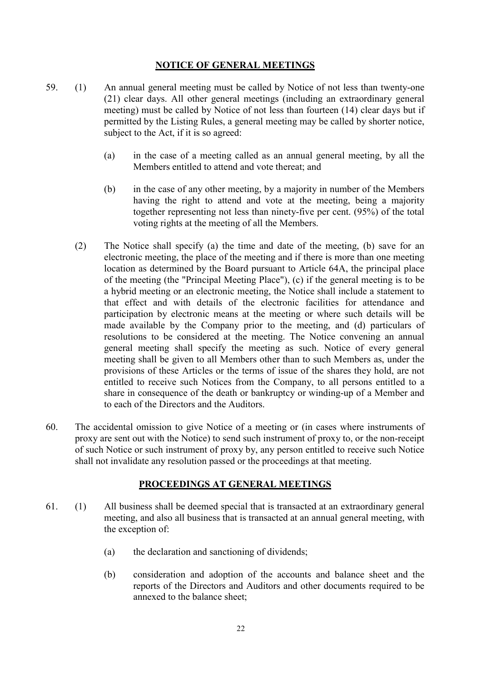## NOTICE OF GENERAL MEETINGS

- 59. (1) An annual general meeting must be called by Notice of not less than twenty-one (21) clear days. All other general meetings (including an extraordinary general meeting) must be called by Notice of not less than fourteen (14) clear days but if permitted by the Listing Rules, a general meeting may be called by shorter notice, subject to the Act, if it is so agreed:
	- (a) in the case of a meeting called as an annual general meeting, by all the Members entitled to attend and vote thereat; and
	- (b) in the case of any other meeting, by a majority in number of the Members having the right to attend and vote at the meeting, being a majority together representing not less than ninety-five per cent. (95%) of the total voting rights at the meeting of all the Members.
	- (2) The Notice shall specify (a) the time and date of the meeting, (b) save for an electronic meeting, the place of the meeting and if there is more than one meeting location as determined by the Board pursuant to Article 64A, the principal place of the meeting (the "Principal Meeting Place"), (c) if the general meeting is to be a hybrid meeting or an electronic meeting, the Notice shall include a statement to that effect and with details of the electronic facilities for attendance and participation by electronic means at the meeting or where such details will be made available by the Company prior to the meeting, and (d) particulars of resolutions to be considered at the meeting. The Notice convening an annual general meeting shall specify the meeting as such. Notice of every general meeting shall be given to all Members other than to such Members as, under the provisions of these Articles or the terms of issue of the shares they hold, are not entitled to receive such Notices from the Company, to all persons entitled to a share in consequence of the death or bankruptcy or winding-up of a Member and to each of the Directors and the Auditors.
- 60. The accidental omission to give Notice of a meeting or (in cases where instruments of proxy are sent out with the Notice) to send such instrument of proxy to, or the non-receipt of such Notice or such instrument of proxy by, any person entitled to receive such Notice shall not invalidate any resolution passed or the proceedings at that meeting.

#### PROCEEDINGS AT GENERAL MEETINGS

- 61. (1) All business shall be deemed special that is transacted at an extraordinary general meeting, and also all business that is transacted at an annual general meeting, with the exception of:
	- (a) the declaration and sanctioning of dividends;
	- (b) consideration and adoption of the accounts and balance sheet and the reports of the Directors and Auditors and other documents required to be annexed to the balance sheet;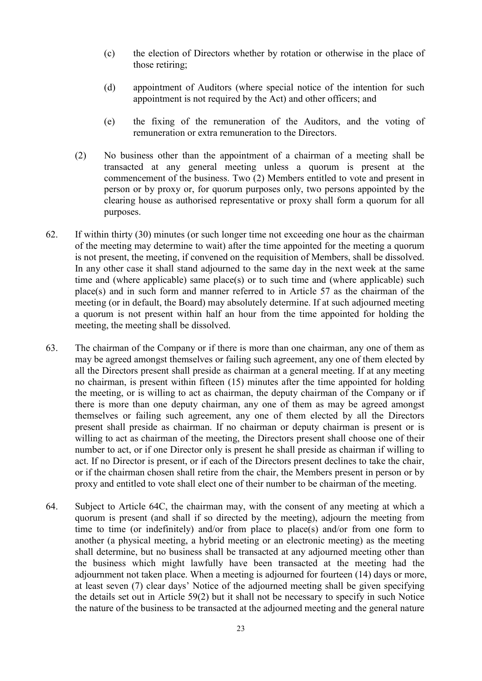- (c) the election of Directors whether by rotation or otherwise in the place of those retiring;
- (d) appointment of Auditors (where special notice of the intention for such appointment is not required by the Act) and other officers; and
- (e) the fixing of the remuneration of the Auditors, and the voting of remuneration or extra remuneration to the Directors.
- (2) No business other than the appointment of a chairman of a meeting shall be transacted at any general meeting unless a quorum is present at the commencement of the business. Two (2) Members entitled to vote and present in person or by proxy or, for quorum purposes only, two persons appointed by the clearing house as authorised representative or proxy shall form a quorum for all purposes.
- 62. If within thirty (30) minutes (or such longer time not exceeding one hour as the chairman of the meeting may determine to wait) after the time appointed for the meeting a quorum is not present, the meeting, if convened on the requisition of Members, shall be dissolved. In any other case it shall stand adjourned to the same day in the next week at the same time and (where applicable) same place(s) or to such time and (where applicable) such place(s) and in such form and manner referred to in Article 57 as the chairman of the meeting (or in default, the Board) may absolutely determine. If at such adjourned meeting a quorum is not present within half an hour from the time appointed for holding the meeting, the meeting shall be dissolved.
- 63. The chairman of the Company or if there is more than one chairman, any one of them as may be agreed amongst themselves or failing such agreement, any one of them elected by all the Directors present shall preside as chairman at a general meeting. If at any meeting no chairman, is present within fifteen (15) minutes after the time appointed for holding the meeting, or is willing to act as chairman, the deputy chairman of the Company or if there is more than one deputy chairman, any one of them as may be agreed amongst themselves or failing such agreement, any one of them elected by all the Directors present shall preside as chairman. If no chairman or deputy chairman is present or is willing to act as chairman of the meeting, the Directors present shall choose one of their number to act, or if one Director only is present he shall preside as chairman if willing to act. If no Director is present, or if each of the Directors present declines to take the chair, or if the chairman chosen shall retire from the chair, the Members present in person or by proxy and entitled to vote shall elect one of their number to be chairman of the meeting.
- 64. Subject to Article 64C, the chairman may, with the consent of any meeting at which a quorum is present (and shall if so directed by the meeting), adjourn the meeting from time to time (or indefinitely) and/or from place to place(s) and/or from one form to another (a physical meeting, a hybrid meeting or an electronic meeting) as the meeting shall determine, but no business shall be transacted at any adjourned meeting other than the business which might lawfully have been transacted at the meeting had the adjournment not taken place. When a meeting is adjourned for fourteen (14) days or more, at least seven (7) clear days' Notice of the adjourned meeting shall be given specifying the details set out in Article 59(2) but it shall not be necessary to specify in such Notice the nature of the business to be transacted at the adjourned meeting and the general nature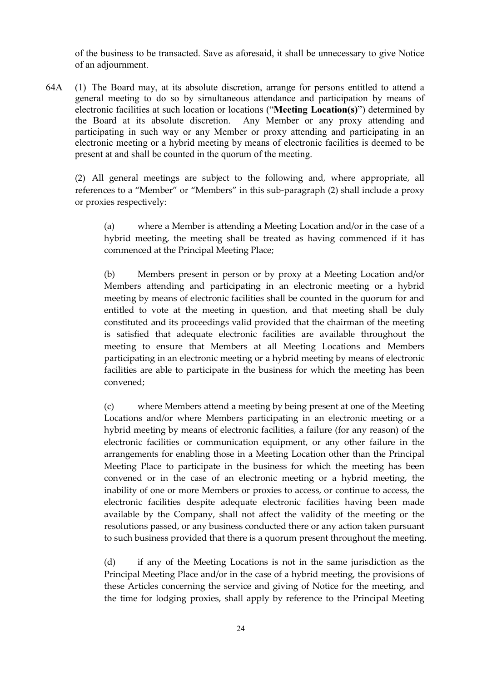of the business to be transacted. Save as aforesaid, it shall be unnecessary to give Notice of an adjournment.

64A (1) The Board may, at its absolute discretion, arrange for persons entitled to attend a general meeting to do so by simultaneous attendance and participation by means of electronic facilities at such location or locations ("Meeting Location(s)") determined by the Board at its absolute discretion. Any Member or any proxy attending and participating in such way or any Member or proxy attending and participating in an electronic meeting or a hybrid meeting by means of electronic facilities is deemed to be present at and shall be counted in the quorum of the meeting.

 (2) All general meetings are subject to the following and, where appropriate, all references to a "Member" or "Members" in this sub-paragraph (2) shall include a proxy or proxies respectively:

 (a) where a Member is attending a Meeting Location and/or in the case of a hybrid meeting, the meeting shall be treated as having commenced if it has commenced at the Principal Meeting Place;

 (b) Members present in person or by proxy at a Meeting Location and/or Members attending and participating in an electronic meeting or a hybrid meeting by means of electronic facilities shall be counted in the quorum for and entitled to vote at the meeting in question, and that meeting shall be duly constituted and its proceedings valid provided that the chairman of the meeting is satisfied that adequate electronic facilities are available throughout the meeting to ensure that Members at all Meeting Locations and Members participating in an electronic meeting or a hybrid meeting by means of electronic facilities are able to participate in the business for which the meeting has been convened;

 (c) where Members attend a meeting by being present at one of the Meeting Locations and/or where Members participating in an electronic meeting or a hybrid meeting by means of electronic facilities, a failure (for any reason) of the electronic facilities or communication equipment, or any other failure in the arrangements for enabling those in a Meeting Location other than the Principal Meeting Place to participate in the business for which the meeting has been convened or in the case of an electronic meeting or a hybrid meeting, the inability of one or more Members or proxies to access, or continue to access, the electronic facilities despite adequate electronic facilities having been made available by the Company, shall not affect the validity of the meeting or the resolutions passed, or any business conducted there or any action taken pursuant to such business provided that there is a quorum present throughout the meeting.

 (d) if any of the Meeting Locations is not in the same jurisdiction as the Principal Meeting Place and/or in the case of a hybrid meeting, the provisions of these Articles concerning the service and giving of Notice for the meeting, and the time for lodging proxies, shall apply by reference to the Principal Meeting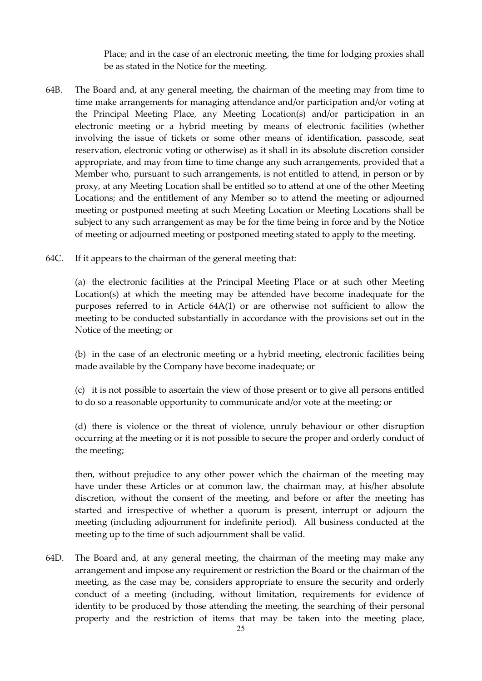Place; and in the case of an electronic meeting, the time for lodging proxies shall be as stated in the Notice for the meeting.

- 64B. The Board and, at any general meeting, the chairman of the meeting may from time to time make arrangements for managing attendance and/or participation and/or voting at the Principal Meeting Place, any Meeting Location(s) and/or participation in an electronic meeting or a hybrid meeting by means of electronic facilities (whether involving the issue of tickets or some other means of identification, passcode, seat reservation, electronic voting or otherwise) as it shall in its absolute discretion consider appropriate, and may from time to time change any such arrangements, provided that a Member who, pursuant to such arrangements, is not entitled to attend, in person or by proxy, at any Meeting Location shall be entitled so to attend at one of the other Meeting Locations; and the entitlement of any Member so to attend the meeting or adjourned meeting or postponed meeting at such Meeting Location or Meeting Locations shall be subject to any such arrangement as may be for the time being in force and by the Notice of meeting or adjourned meeting or postponed meeting stated to apply to the meeting.
- 64C. If it appears to the chairman of the general meeting that:

(a) the electronic facilities at the Principal Meeting Place or at such other Meeting Location(s) at which the meeting may be attended have become inadequate for the purposes referred to in Article 64A(1) or are otherwise not sufficient to allow the meeting to be conducted substantially in accordance with the provisions set out in the Notice of the meeting; or

(b) in the case of an electronic meeting or a hybrid meeting, electronic facilities being made available by the Company have become inadequate; or

(c) it is not possible to ascertain the view of those present or to give all persons entitled to do so a reasonable opportunity to communicate and/or vote at the meeting; or

(d) there is violence or the threat of violence, unruly behaviour or other disruption occurring at the meeting or it is not possible to secure the proper and orderly conduct of the meeting;

then, without prejudice to any other power which the chairman of the meeting may have under these Articles or at common law, the chairman may, at his/her absolute discretion, without the consent of the meeting, and before or after the meeting has started and irrespective of whether a quorum is present, interrupt or adjourn the meeting (including adjournment for indefinite period). All business conducted at the meeting up to the time of such adjournment shall be valid.

64D. The Board and, at any general meeting, the chairman of the meeting may make any arrangement and impose any requirement or restriction the Board or the chairman of the meeting, as the case may be, considers appropriate to ensure the security and orderly conduct of a meeting (including, without limitation, requirements for evidence of identity to be produced by those attending the meeting, the searching of their personal property and the restriction of items that may be taken into the meeting place,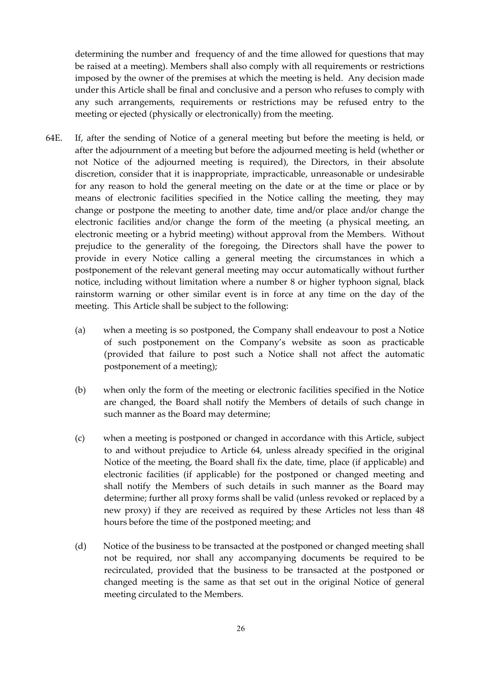determining the number and frequency of and the time allowed for questions that may be raised at a meeting). Members shall also comply with all requirements or restrictions imposed by the owner of the premises at which the meeting is held. Any decision made under this Article shall be final and conclusive and a person who refuses to comply with any such arrangements, requirements or restrictions may be refused entry to the meeting or ejected (physically or electronically) from the meeting.

- 64E. If, after the sending of Notice of a general meeting but before the meeting is held, or after the adjournment of a meeting but before the adjourned meeting is held (whether or not Notice of the adjourned meeting is required), the Directors, in their absolute discretion, consider that it is inappropriate, impracticable, unreasonable or undesirable for any reason to hold the general meeting on the date or at the time or place or by means of electronic facilities specified in the Notice calling the meeting, they may change or postpone the meeting to another date, time and/or place and/or change the electronic facilities and/or change the form of the meeting (a physical meeting, an electronic meeting or a hybrid meeting) without approval from the Members. Without prejudice to the generality of the foregoing, the Directors shall have the power to provide in every Notice calling a general meeting the circumstances in which a postponement of the relevant general meeting may occur automatically without further notice, including without limitation where a number 8 or higher typhoon signal, black rainstorm warning or other similar event is in force at any time on the day of the meeting. This Article shall be subject to the following:
	- (a) when a meeting is so postponed, the Company shall endeavour to post a Notice of such postponement on the Company's website as soon as practicable (provided that failure to post such a Notice shall not affect the automatic postponement of a meeting);
	- (b) when only the form of the meeting or electronic facilities specified in the Notice are changed, the Board shall notify the Members of details of such change in such manner as the Board may determine;
	- (c) when a meeting is postponed or changed in accordance with this Article, subject to and without prejudice to Article 64, unless already specified in the original Notice of the meeting, the Board shall fix the date, time, place (if applicable) and electronic facilities (if applicable) for the postponed or changed meeting and shall notify the Members of such details in such manner as the Board may determine; further all proxy forms shall be valid (unless revoked or replaced by a new proxy) if they are received as required by these Articles not less than 48 hours before the time of the postponed meeting; and
	- (d) Notice of the business to be transacted at the postponed or changed meeting shall not be required, nor shall any accompanying documents be required to be recirculated, provided that the business to be transacted at the postponed or changed meeting is the same as that set out in the original Notice of general meeting circulated to the Members.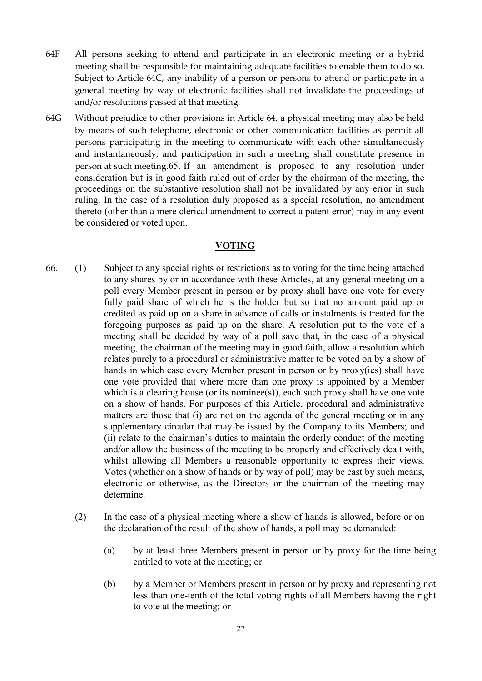- 64F All persons seeking to attend and participate in an electronic meeting or a hybrid meeting shall be responsible for maintaining adequate facilities to enable them to do so. Subject to Article 64C, any inability of a person or persons to attend or participate in a general meeting by way of electronic facilities shall not invalidate the proceedings of and/or resolutions passed at that meeting.
- 64G Without prejudice to other provisions in Article 64, a physical meeting may also be held by means of such telephone, electronic or other communication facilities as permit all persons participating in the meeting to communicate with each other simultaneously and instantaneously, and participation in such a meeting shall constitute presence in person at such meeting.65. If an amendment is proposed to any resolution under consideration but is in good faith ruled out of order by the chairman of the meeting, the proceedings on the substantive resolution shall not be invalidated by any error in such ruling. In the case of a resolution duly proposed as a special resolution, no amendment thereto (other than a mere clerical amendment to correct a patent error) may in any event be considered or voted upon.

## VOTING

- 66. (1) Subject to any special rights or restrictions as to voting for the time being attached to any shares by or in accordance with these Articles, at any general meeting on a poll every Member present in person or by proxy shall have one vote for every fully paid share of which he is the holder but so that no amount paid up or credited as paid up on a share in advance of calls or instalments is treated for the foregoing purposes as paid up on the share. A resolution put to the vote of a meeting shall be decided by way of a poll save that, in the case of a physical meeting, the chairman of the meeting may in good faith, allow a resolution which relates purely to a procedural or administrative matter to be voted on by a show of hands in which case every Member present in person or by proxy(ies) shall have one vote provided that where more than one proxy is appointed by a Member which is a clearing house (or its nominee(s)), each such proxy shall have one vote on a show of hands. For purposes of this Article, procedural and administrative matters are those that (i) are not on the agenda of the general meeting or in any supplementary circular that may be issued by the Company to its Members; and (ii) relate to the chairman's duties to maintain the orderly conduct of the meeting and/or allow the business of the meeting to be properly and effectively dealt with, whilst allowing all Members a reasonable opportunity to express their views. Votes (whether on a show of hands or by way of poll) may be cast by such means, electronic or otherwise, as the Directors or the chairman of the meeting may determine.
	- (2) In the case of a physical meeting where a show of hands is allowed, before or on the declaration of the result of the show of hands, a poll may be demanded:
		- (a) by at least three Members present in person or by proxy for the time being entitled to vote at the meeting; or
		- (b) by a Member or Members present in person or by proxy and representing not less than one-tenth of the total voting rights of all Members having the right to vote at the meeting; or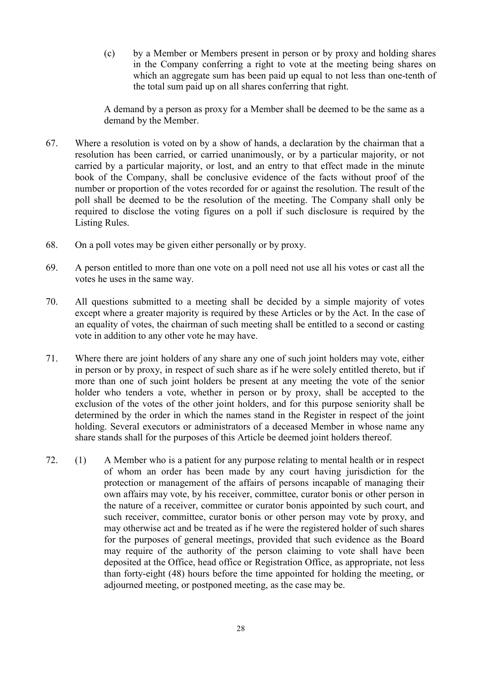(c) by a Member or Members present in person or by proxy and holding shares in the Company conferring a right to vote at the meeting being shares on which an aggregate sum has been paid up equal to not less than one-tenth of the total sum paid up on all shares conferring that right.

A demand by a person as proxy for a Member shall be deemed to be the same as a demand by the Member.

- 67. Where a resolution is voted on by a show of hands, a declaration by the chairman that a resolution has been carried, or carried unanimously, or by a particular majority, or not carried by a particular majority, or lost, and an entry to that effect made in the minute book of the Company, shall be conclusive evidence of the facts without proof of the number or proportion of the votes recorded for or against the resolution. The result of the poll shall be deemed to be the resolution of the meeting. The Company shall only be required to disclose the voting figures on a poll if such disclosure is required by the Listing Rules.
- 68. On a poll votes may be given either personally or by proxy.
- 69. A person entitled to more than one vote on a poll need not use all his votes or cast all the votes he uses in the same way.
- 70. All questions submitted to a meeting shall be decided by a simple majority of votes except where a greater majority is required by these Articles or by the Act. In the case of an equality of votes, the chairman of such meeting shall be entitled to a second or casting vote in addition to any other vote he may have.
- 71. Where there are joint holders of any share any one of such joint holders may vote, either in person or by proxy, in respect of such share as if he were solely entitled thereto, but if more than one of such joint holders be present at any meeting the vote of the senior holder who tenders a vote, whether in person or by proxy, shall be accepted to the exclusion of the votes of the other joint holders, and for this purpose seniority shall be determined by the order in which the names stand in the Register in respect of the joint holding. Several executors or administrators of a deceased Member in whose name any share stands shall for the purposes of this Article be deemed joint holders thereof.
- 72. (1) A Member who is a patient for any purpose relating to mental health or in respect of whom an order has been made by any court having jurisdiction for the protection or management of the affairs of persons incapable of managing their own affairs may vote, by his receiver, committee, curator bonis or other person in the nature of a receiver, committee or curator bonis appointed by such court, and such receiver, committee, curator bonis or other person may vote by proxy, and may otherwise act and be treated as if he were the registered holder of such shares for the purposes of general meetings, provided that such evidence as the Board may require of the authority of the person claiming to vote shall have been deposited at the Office, head office or Registration Office, as appropriate, not less than forty-eight (48) hours before the time appointed for holding the meeting, or adjourned meeting, or postponed meeting, as the case may be.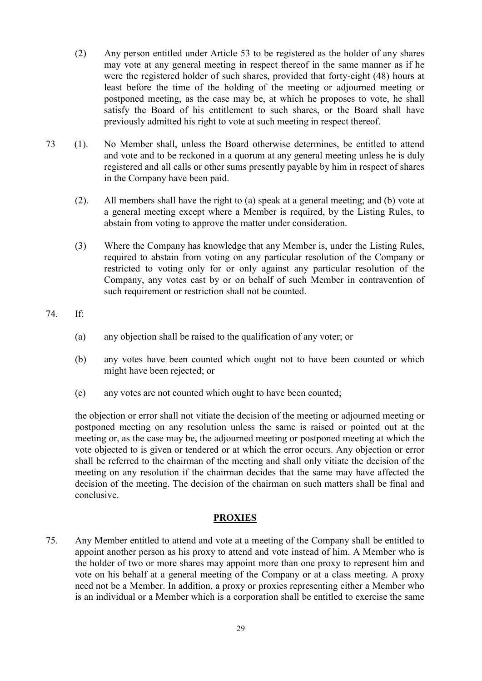- (2) Any person entitled under Article 53 to be registered as the holder of any shares may vote at any general meeting in respect thereof in the same manner as if he were the registered holder of such shares, provided that forty-eight (48) hours at least before the time of the holding of the meeting or adjourned meeting or postponed meeting, as the case may be, at which he proposes to vote, he shall satisfy the Board of his entitlement to such shares, or the Board shall have previously admitted his right to vote at such meeting in respect thereof.
- 73 (1). No Member shall, unless the Board otherwise determines, be entitled to attend and vote and to be reckoned in a quorum at any general meeting unless he is duly registered and all calls or other sums presently payable by him in respect of shares in the Company have been paid.
	- (2). All members shall have the right to (a) speak at a general meeting; and (b) vote at a general meeting except where a Member is required, by the Listing Rules, to abstain from voting to approve the matter under consideration.
	- (3) Where the Company has knowledge that any Member is, under the Listing Rules, required to abstain from voting on any particular resolution of the Company or restricted to voting only for or only against any particular resolution of the Company, any votes cast by or on behalf of such Member in contravention of such requirement or restriction shall not be counted.

## 74. If:

- (a) any objection shall be raised to the qualification of any voter; or
- (b) any votes have been counted which ought not to have been counted or which might have been rejected; or
- (c) any votes are not counted which ought to have been counted;

the objection or error shall not vitiate the decision of the meeting or adjourned meeting or postponed meeting on any resolution unless the same is raised or pointed out at the meeting or, as the case may be, the adjourned meeting or postponed meeting at which the vote objected to is given or tendered or at which the error occurs. Any objection or error shall be referred to the chairman of the meeting and shall only vitiate the decision of the meeting on any resolution if the chairman decides that the same may have affected the decision of the meeting. The decision of the chairman on such matters shall be final and conclusive.

# PROXIES

75. Any Member entitled to attend and vote at a meeting of the Company shall be entitled to appoint another person as his proxy to attend and vote instead of him. A Member who is the holder of two or more shares may appoint more than one proxy to represent him and vote on his behalf at a general meeting of the Company or at a class meeting. A proxy need not be a Member. In addition, a proxy or proxies representing either a Member who is an individual or a Member which is a corporation shall be entitled to exercise the same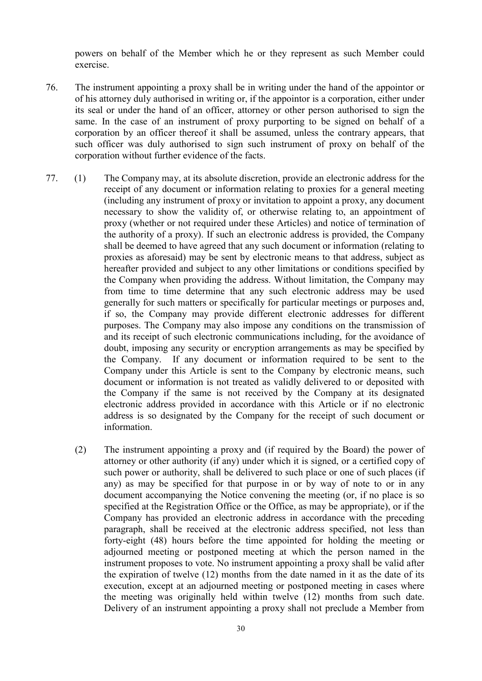powers on behalf of the Member which he or they represent as such Member could exercise.

- 76. The instrument appointing a proxy shall be in writing under the hand of the appointor or of his attorney duly authorised in writing or, if the appointor is a corporation, either under its seal or under the hand of an officer, attorney or other person authorised to sign the same. In the case of an instrument of proxy purporting to be signed on behalf of a corporation by an officer thereof it shall be assumed, unless the contrary appears, that such officer was duly authorised to sign such instrument of proxy on behalf of the corporation without further evidence of the facts.
- 77. (1) The Company may, at its absolute discretion, provide an electronic address for the receipt of any document or information relating to proxies for a general meeting (including any instrument of proxy or invitation to appoint a proxy, any document necessary to show the validity of, or otherwise relating to, an appointment of proxy (whether or not required under these Articles) and notice of termination of the authority of a proxy). If such an electronic address is provided, the Company shall be deemed to have agreed that any such document or information (relating to proxies as aforesaid) may be sent by electronic means to that address, subject as hereafter provided and subject to any other limitations or conditions specified by the Company when providing the address. Without limitation, the Company may from time to time determine that any such electronic address may be used generally for such matters or specifically for particular meetings or purposes and, if so, the Company may provide different electronic addresses for different purposes. The Company may also impose any conditions on the transmission of and its receipt of such electronic communications including, for the avoidance of doubt, imposing any security or encryption arrangements as may be specified by the Company. If any document or information required to be sent to the Company under this Article is sent to the Company by electronic means, such document or information is not treated as validly delivered to or deposited with the Company if the same is not received by the Company at its designated electronic address provided in accordance with this Article or if no electronic address is so designated by the Company for the receipt of such document or information.
	- (2) The instrument appointing a proxy and (if required by the Board) the power of attorney or other authority (if any) under which it is signed, or a certified copy of such power or authority, shall be delivered to such place or one of such places (if any) as may be specified for that purpose in or by way of note to or in any document accompanying the Notice convening the meeting (or, if no place is so specified at the Registration Office or the Office, as may be appropriate), or if the Company has provided an electronic address in accordance with the preceding paragraph, shall be received at the electronic address specified, not less than forty-eight (48) hours before the time appointed for holding the meeting or adjourned meeting or postponed meeting at which the person named in the instrument proposes to vote. No instrument appointing a proxy shall be valid after the expiration of twelve (12) months from the date named in it as the date of its execution, except at an adjourned meeting or postponed meeting in cases where the meeting was originally held within twelve (12) months from such date. Delivery of an instrument appointing a proxy shall not preclude a Member from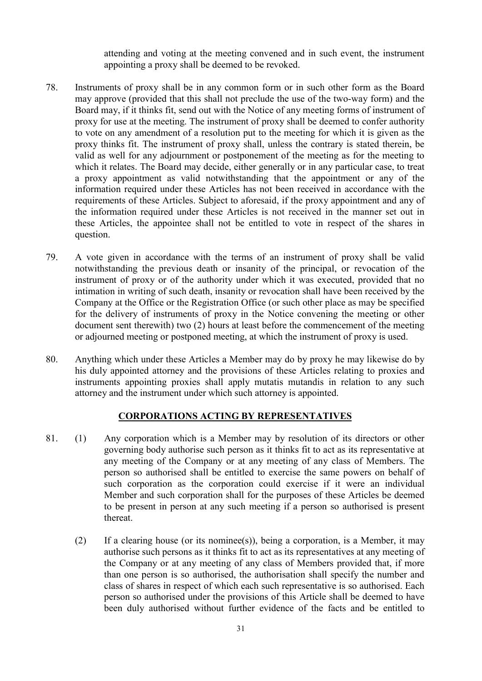attending and voting at the meeting convened and in such event, the instrument appointing a proxy shall be deemed to be revoked.

- 78. Instruments of proxy shall be in any common form or in such other form as the Board may approve (provided that this shall not preclude the use of the two-way form) and the Board may, if it thinks fit, send out with the Notice of any meeting forms of instrument of proxy for use at the meeting. The instrument of proxy shall be deemed to confer authority to vote on any amendment of a resolution put to the meeting for which it is given as the proxy thinks fit. The instrument of proxy shall, unless the contrary is stated therein, be valid as well for any adjournment or postponement of the meeting as for the meeting to which it relates. The Board may decide, either generally or in any particular case, to treat a proxy appointment as valid notwithstanding that the appointment or any of the information required under these Articles has not been received in accordance with the requirements of these Articles. Subject to aforesaid, if the proxy appointment and any of the information required under these Articles is not received in the manner set out in these Articles, the appointee shall not be entitled to vote in respect of the shares in question.
- 79. A vote given in accordance with the terms of an instrument of proxy shall be valid notwithstanding the previous death or insanity of the principal, or revocation of the instrument of proxy or of the authority under which it was executed, provided that no intimation in writing of such death, insanity or revocation shall have been received by the Company at the Office or the Registration Office (or such other place as may be specified for the delivery of instruments of proxy in the Notice convening the meeting or other document sent therewith) two (2) hours at least before the commencement of the meeting or adjourned meeting or postponed meeting, at which the instrument of proxy is used.
- 80. Anything which under these Articles a Member may do by proxy he may likewise do by his duly appointed attorney and the provisions of these Articles relating to proxies and instruments appointing proxies shall apply mutatis mutandis in relation to any such attorney and the instrument under which such attorney is appointed.

## CORPORATIONS ACTING BY REPRESENTATIVES

- 81. (1) Any corporation which is a Member may by resolution of its directors or other governing body authorise such person as it thinks fit to act as its representative at any meeting of the Company or at any meeting of any class of Members. The person so authorised shall be entitled to exercise the same powers on behalf of such corporation as the corporation could exercise if it were an individual Member and such corporation shall for the purposes of these Articles be deemed to be present in person at any such meeting if a person so authorised is present thereat.
	- (2) If a clearing house (or its nominee(s)), being a corporation, is a Member, it may authorise such persons as it thinks fit to act as its representatives at any meeting of the Company or at any meeting of any class of Members provided that, if more than one person is so authorised, the authorisation shall specify the number and class of shares in respect of which each such representative is so authorised. Each person so authorised under the provisions of this Article shall be deemed to have been duly authorised without further evidence of the facts and be entitled to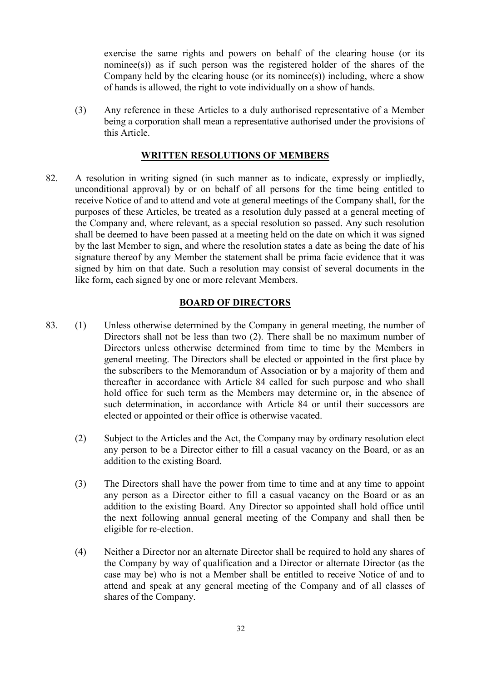exercise the same rights and powers on behalf of the clearing house (or its nominee(s)) as if such person was the registered holder of the shares of the Company held by the clearing house (or its nominee(s)) including, where a show of hands is allowed, the right to vote individually on a show of hands.

(3) Any reference in these Articles to a duly authorised representative of a Member being a corporation shall mean a representative authorised under the provisions of this Article.

### WRITTEN RESOLUTIONS OF MEMBERS

82. A resolution in writing signed (in such manner as to indicate, expressly or impliedly, unconditional approval) by or on behalf of all persons for the time being entitled to receive Notice of and to attend and vote at general meetings of the Company shall, for the purposes of these Articles, be treated as a resolution duly passed at a general meeting of the Company and, where relevant, as a special resolution so passed. Any such resolution shall be deemed to have been passed at a meeting held on the date on which it was signed by the last Member to sign, and where the resolution states a date as being the date of his signature thereof by any Member the statement shall be prima facie evidence that it was signed by him on that date. Such a resolution may consist of several documents in the like form, each signed by one or more relevant Members.

### BOARD OF DIRECTORS

- 83. (1) Unless otherwise determined by the Company in general meeting, the number of Directors shall not be less than two (2). There shall be no maximum number of Directors unless otherwise determined from time to time by the Members in general meeting. The Directors shall be elected or appointed in the first place by the subscribers to the Memorandum of Association or by a majority of them and thereafter in accordance with Article 84 called for such purpose and who shall hold office for such term as the Members may determine or, in the absence of such determination, in accordance with Article 84 or until their successors are elected or appointed or their office is otherwise vacated.
	- (2) Subject to the Articles and the Act, the Company may by ordinary resolution elect any person to be a Director either to fill a casual vacancy on the Board, or as an addition to the existing Board.
	- (3) The Directors shall have the power from time to time and at any time to appoint any person as a Director either to fill a casual vacancy on the Board or as an addition to the existing Board. Any Director so appointed shall hold office until the next following annual general meeting of the Company and shall then be eligible for re-election.
	- (4) Neither a Director nor an alternate Director shall be required to hold any shares of the Company by way of qualification and a Director or alternate Director (as the case may be) who is not a Member shall be entitled to receive Notice of and to attend and speak at any general meeting of the Company and of all classes of shares of the Company.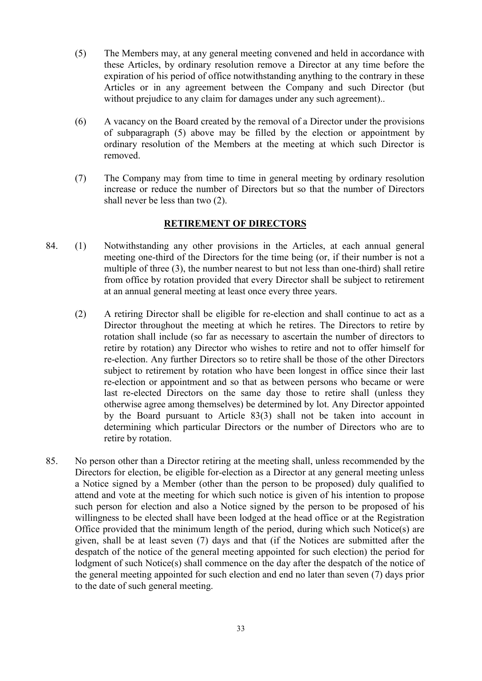- (5) The Members may, at any general meeting convened and held in accordance with these Articles, by ordinary resolution remove a Director at any time before the expiration of his period of office notwithstanding anything to the contrary in these Articles or in any agreement between the Company and such Director (but without prejudice to any claim for damages under any such agreement)..
- (6) A vacancy on the Board created by the removal of a Director under the provisions of subparagraph (5) above may be filled by the election or appointment by ordinary resolution of the Members at the meeting at which such Director is removed.
- (7) The Company may from time to time in general meeting by ordinary resolution increase or reduce the number of Directors but so that the number of Directors shall never be less than two (2).

## RETIREMENT OF DIRECTORS

- 84. (1) Notwithstanding any other provisions in the Articles, at each annual general meeting one-third of the Directors for the time being (or, if their number is not a multiple of three (3), the number nearest to but not less than one-third) shall retire from office by rotation provided that every Director shall be subject to retirement at an annual general meeting at least once every three years.
	- (2) A retiring Director shall be eligible for re-election and shall continue to act as a Director throughout the meeting at which he retires. The Directors to retire by rotation shall include (so far as necessary to ascertain the number of directors to retire by rotation) any Director who wishes to retire and not to offer himself for re-election. Any further Directors so to retire shall be those of the other Directors subject to retirement by rotation who have been longest in office since their last re-election or appointment and so that as between persons who became or were last re-elected Directors on the same day those to retire shall (unless they otherwise agree among themselves) be determined by lot. Any Director appointed by the Board pursuant to Article 83(3) shall not be taken into account in determining which particular Directors or the number of Directors who are to retire by rotation.
- 85. No person other than a Director retiring at the meeting shall, unless recommended by the Directors for election, be eligible for-election as a Director at any general meeting unless a Notice signed by a Member (other than the person to be proposed) duly qualified to attend and vote at the meeting for which such notice is given of his intention to propose such person for election and also a Notice signed by the person to be proposed of his willingness to be elected shall have been lodged at the head office or at the Registration Office provided that the minimum length of the period, during which such Notice(s) are given, shall be at least seven (7) days and that (if the Notices are submitted after the despatch of the notice of the general meeting appointed for such election) the period for lodgment of such Notice(s) shall commence on the day after the despatch of the notice of the general meeting appointed for such election and end no later than seven (7) days prior to the date of such general meeting.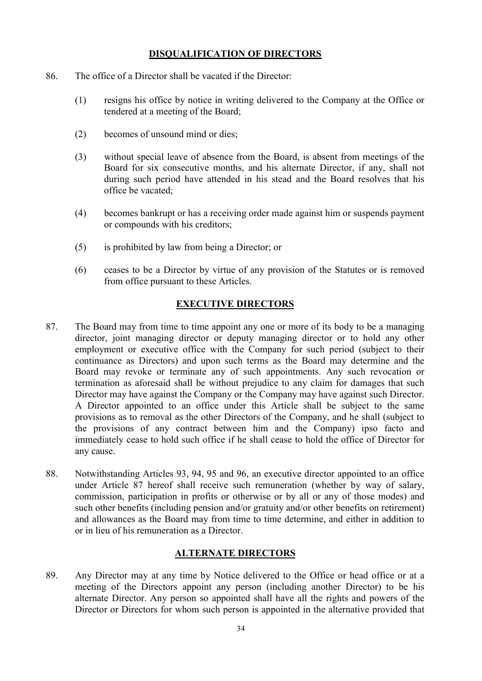## DISQUALIFICATION OF DIRECTORS

- 86. The office of a Director shall be vacated if the Director:
	- (1) resigns his office by notice in writing delivered to the Company at the Office or tendered at a meeting of the Board;
	- (2) becomes of unsound mind or dies;
	- (3) without special leave of absence from the Board, is absent from meetings of the Board for six consecutive months, and his alternate Director, if any, shall not during such period have attended in his stead and the Board resolves that his office be vacated;
	- (4) becomes bankrupt or has a receiving order made against him or suspends payment or compounds with his creditors;
	- (5) is prohibited by law from being a Director; or
	- (6) ceases to be a Director by virtue of any provision of the Statutes or is removed from office pursuant to these Articles.

### EXECUTIVE DIRECTORS

- 87. The Board may from time to time appoint any one or more of its body to be a managing director, joint managing director or deputy managing director or to hold any other employment or executive office with the Company for such period (subject to their continuance as Directors) and upon such terms as the Board may determine and the Board may revoke or terminate any of such appointments. Any such revocation or termination as aforesaid shall be without prejudice to any claim for damages that such Director may have against the Company or the Company may have against such Director. A Director appointed to an office under this Article shall be subject to the same provisions as to removal as the other Directors of the Company, and he shall (subject to the provisions of any contract between him and the Company) ipso facto and immediately cease to hold such office if he shall cease to hold the office of Director for any cause.
- 88. Notwithstanding Articles 93, 94, 95 and 96, an executive director appointed to an office under Article 87 hereof shall receive such remuneration (whether by way of salary, commission, participation in profits or otherwise or by all or any of those modes) and such other benefits (including pension and/or gratuity and/or other benefits on retirement) and allowances as the Board may from time to time determine, and either in addition to or in lieu of his remuneration as a Director.

# ALTERNATE DIRECTORS

89. Any Director may at any time by Notice delivered to the Office or head office or at a meeting of the Directors appoint any person (including another Director) to be his alternate Director. Any person so appointed shall have all the rights and powers of the Director or Directors for whom such person is appointed in the alternative provided that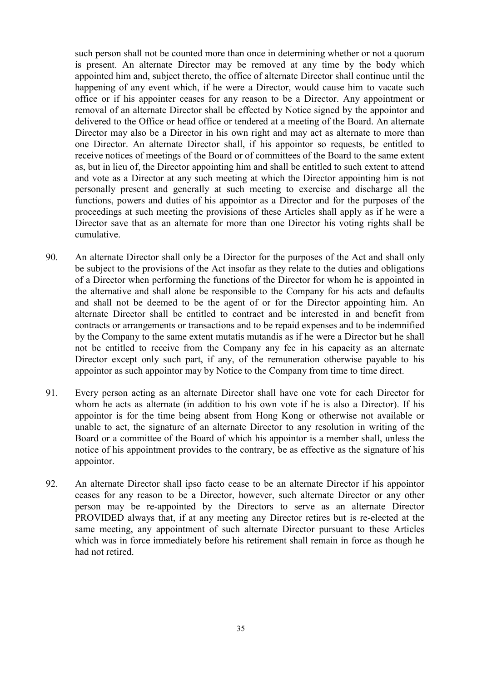such person shall not be counted more than once in determining whether or not a quorum is present. An alternate Director may be removed at any time by the body which appointed him and, subject thereto, the office of alternate Director shall continue until the happening of any event which, if he were a Director, would cause him to vacate such office or if his appointer ceases for any reason to be a Director. Any appointment or removal of an alternate Director shall be effected by Notice signed by the appointor and delivered to the Office or head office or tendered at a meeting of the Board. An alternate Director may also be a Director in his own right and may act as alternate to more than one Director. An alternate Director shall, if his appointor so requests, be entitled to receive notices of meetings of the Board or of committees of the Board to the same extent as, but in lieu of, the Director appointing him and shall be entitled to such extent to attend and vote as a Director at any such meeting at which the Director appointing him is not personally present and generally at such meeting to exercise and discharge all the functions, powers and duties of his appointor as a Director and for the purposes of the proceedings at such meeting the provisions of these Articles shall apply as if he were a Director save that as an alternate for more than one Director his voting rights shall be cumulative.

- 90. An alternate Director shall only be a Director for the purposes of the Act and shall only be subject to the provisions of the Act insofar as they relate to the duties and obligations of a Director when performing the functions of the Director for whom he is appointed in the alternative and shall alone be responsible to the Company for his acts and defaults and shall not be deemed to be the agent of or for the Director appointing him. An alternate Director shall be entitled to contract and be interested in and benefit from contracts or arrangements or transactions and to be repaid expenses and to be indemnified by the Company to the same extent mutatis mutandis as if he were a Director but he shall not be entitled to receive from the Company any fee in his capacity as an alternate Director except only such part, if any, of the remuneration otherwise payable to his appointor as such appointor may by Notice to the Company from time to time direct.
- 91. Every person acting as an alternate Director shall have one vote for each Director for whom he acts as alternate (in addition to his own vote if he is also a Director). If his appointor is for the time being absent from Hong Kong or otherwise not available or unable to act, the signature of an alternate Director to any resolution in writing of the Board or a committee of the Board of which his appointor is a member shall, unless the notice of his appointment provides to the contrary, be as effective as the signature of his appointor.
- 92. An alternate Director shall ipso facto cease to be an alternate Director if his appointor ceases for any reason to be a Director, however, such alternate Director or any other person may be re-appointed by the Directors to serve as an alternate Director PROVIDED always that, if at any meeting any Director retires but is re-elected at the same meeting, any appointment of such alternate Director pursuant to these Articles which was in force immediately before his retirement shall remain in force as though he had not retired.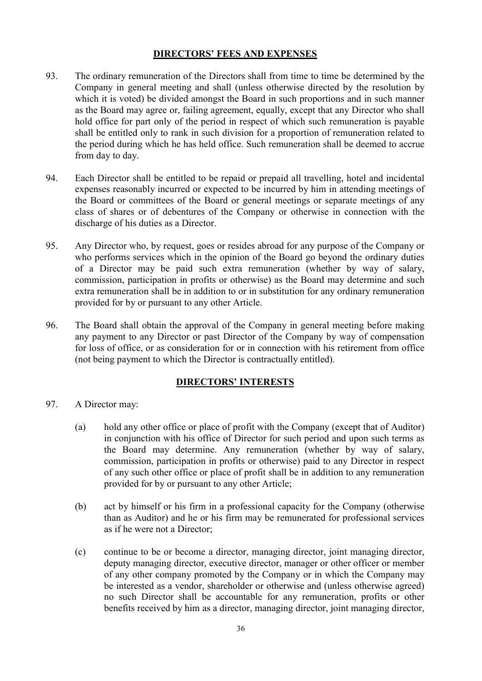## DIRECTORS' FEES AND EXPENSES

- 93. The ordinary remuneration of the Directors shall from time to time be determined by the Company in general meeting and shall (unless otherwise directed by the resolution by which it is voted) be divided amongst the Board in such proportions and in such manner as the Board may agree or, failing agreement, equally, except that any Director who shall hold office for part only of the period in respect of which such remuneration is payable shall be entitled only to rank in such division for a proportion of remuneration related to the period during which he has held office. Such remuneration shall be deemed to accrue from day to day.
- 94. Each Director shall be entitled to be repaid or prepaid all travelling, hotel and incidental expenses reasonably incurred or expected to be incurred by him in attending meetings of the Board or committees of the Board or general meetings or separate meetings of any class of shares or of debentures of the Company or otherwise in connection with the discharge of his duties as a Director.
- 95. Any Director who, by request, goes or resides abroad for any purpose of the Company or who performs services which in the opinion of the Board go beyond the ordinary duties of a Director may be paid such extra remuneration (whether by way of salary, commission, participation in profits or otherwise) as the Board may determine and such extra remuneration shall be in addition to or in substitution for any ordinary remuneration provided for by or pursuant to any other Article.
- 96. The Board shall obtain the approval of the Company in general meeting before making any payment to any Director or past Director of the Company by way of compensation for loss of office, or as consideration for or in connection with his retirement from office (not being payment to which the Director is contractually entitled).

# DIRECTORS' INTERESTS

- 97. A Director may:
	- (a) hold any other office or place of profit with the Company (except that of Auditor) in conjunction with his office of Director for such period and upon such terms as the Board may determine. Any remuneration (whether by way of salary, commission, participation in profits or otherwise) paid to any Director in respect of any such other office or place of profit shall be in addition to any remuneration provided for by or pursuant to any other Article;
	- (b) act by himself or his firm in a professional capacity for the Company (otherwise than as Auditor) and he or his firm may be remunerated for professional services as if he were not a Director;
	- (c) continue to be or become a director, managing director, joint managing director, deputy managing director, executive director, manager or other officer or member of any other company promoted by the Company or in which the Company may be interested as a vendor, shareholder or otherwise and (unless otherwise agreed) no such Director shall be accountable for any remuneration, profits or other benefits received by him as a director, managing director, joint managing director,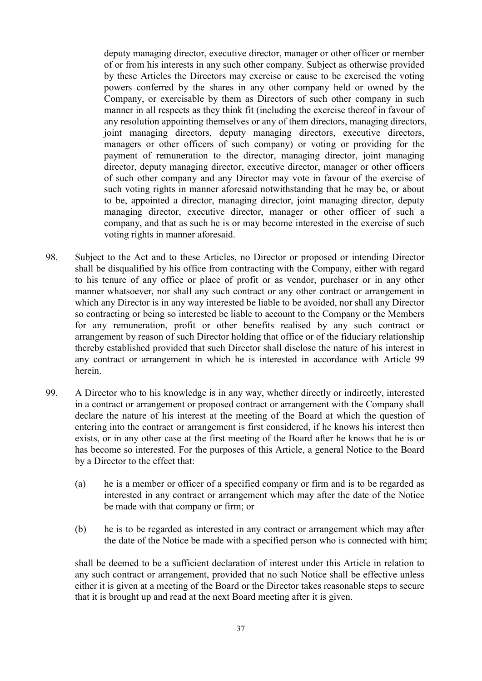deputy managing director, executive director, manager or other officer or member of or from his interests in any such other company. Subject as otherwise provided by these Articles the Directors may exercise or cause to be exercised the voting powers conferred by the shares in any other company held or owned by the Company, or exercisable by them as Directors of such other company in such manner in all respects as they think fit (including the exercise thereof in favour of any resolution appointing themselves or any of them directors, managing directors, joint managing directors, deputy managing directors, executive directors, managers or other officers of such company) or voting or providing for the payment of remuneration to the director, managing director, joint managing director, deputy managing director, executive director, manager or other officers of such other company and any Director may vote in favour of the exercise of such voting rights in manner aforesaid notwithstanding that he may be, or about to be, appointed a director, managing director, joint managing director, deputy managing director, executive director, manager or other officer of such a company, and that as such he is or may become interested in the exercise of such voting rights in manner aforesaid.

- 98. Subject to the Act and to these Articles, no Director or proposed or intending Director shall be disqualified by his office from contracting with the Company, either with regard to his tenure of any office or place of profit or as vendor, purchaser or in any other manner whatsoever, nor shall any such contract or any other contract or arrangement in which any Director is in any way interested be liable to be avoided, nor shall any Director so contracting or being so interested be liable to account to the Company or the Members for any remuneration, profit or other benefits realised by any such contract or arrangement by reason of such Director holding that office or of the fiduciary relationship thereby established provided that such Director shall disclose the nature of his interest in any contract or arrangement in which he is interested in accordance with Article 99 herein.
- 99. A Director who to his knowledge is in any way, whether directly or indirectly, interested in a contract or arrangement or proposed contract or arrangement with the Company shall declare the nature of his interest at the meeting of the Board at which the question of entering into the contract or arrangement is first considered, if he knows his interest then exists, or in any other case at the first meeting of the Board after he knows that he is or has become so interested. For the purposes of this Article, a general Notice to the Board by a Director to the effect that:
	- (a) he is a member or officer of a specified company or firm and is to be regarded as interested in any contract or arrangement which may after the date of the Notice be made with that company or firm; or
	- (b) he is to be regarded as interested in any contract or arrangement which may after the date of the Notice be made with a specified person who is connected with him;

shall be deemed to be a sufficient declaration of interest under this Article in relation to any such contract or arrangement, provided that no such Notice shall be effective unless either it is given at a meeting of the Board or the Director takes reasonable steps to secure that it is brought up and read at the next Board meeting after it is given.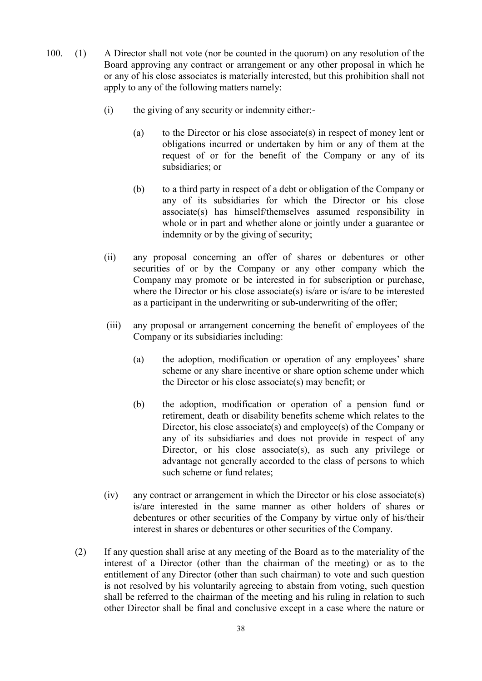- 100. (1) A Director shall not vote (nor be counted in the quorum) on any resolution of the Board approving any contract or arrangement or any other proposal in which he or any of his close associates is materially interested, but this prohibition shall not apply to any of the following matters namely:
	- (i) the giving of any security or indemnity either:-
		- (a) to the Director or his close associate(s) in respect of money lent or obligations incurred or undertaken by him or any of them at the request of or for the benefit of the Company or any of its subsidiaries; or
		- (b) to a third party in respect of a debt or obligation of the Company or any of its subsidiaries for which the Director or his close associate(s) has himself/themselves assumed responsibility in whole or in part and whether alone or jointly under a guarantee or indemnity or by the giving of security;
	- (ii) any proposal concerning an offer of shares or debentures or other securities of or by the Company or any other company which the Company may promote or be interested in for subscription or purchase, where the Director or his close associate(s) is/are or is/are to be interested as a participant in the underwriting or sub-underwriting of the offer;
	- (iii) any proposal or arrangement concerning the benefit of employees of the Company or its subsidiaries including:
		- (a) the adoption, modification or operation of any employees' share scheme or any share incentive or share option scheme under which the Director or his close associate(s) may benefit; or
		- (b) the adoption, modification or operation of a pension fund or retirement, death or disability benefits scheme which relates to the Director, his close associate(s) and employee(s) of the Company or any of its subsidiaries and does not provide in respect of any Director, or his close associate(s), as such any privilege or advantage not generally accorded to the class of persons to which such scheme or fund relates;
	- (iv) any contract or arrangement in which the Director or his close associate(s) is/are interested in the same manner as other holders of shares or debentures or other securities of the Company by virtue only of his/their interest in shares or debentures or other securities of the Company.
	- (2) If any question shall arise at any meeting of the Board as to the materiality of the interest of a Director (other than the chairman of the meeting) or as to the entitlement of any Director (other than such chairman) to vote and such question is not resolved by his voluntarily agreeing to abstain from voting, such question shall be referred to the chairman of the meeting and his ruling in relation to such other Director shall be final and conclusive except in a case where the nature or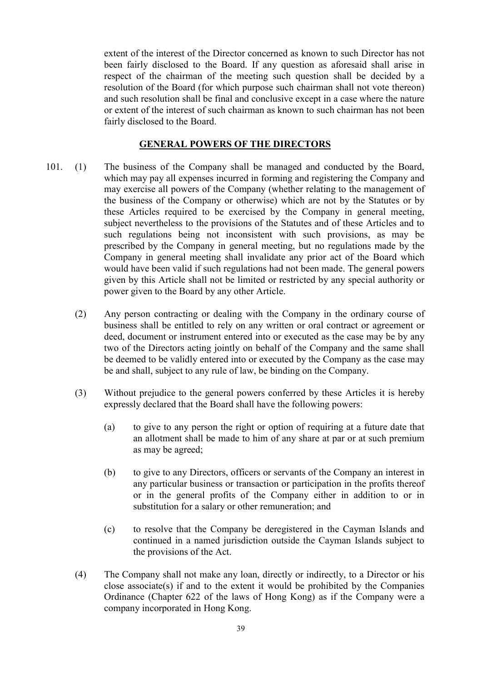extent of the interest of the Director concerned as known to such Director has not been fairly disclosed to the Board. If any question as aforesaid shall arise in respect of the chairman of the meeting such question shall be decided by a resolution of the Board (for which purpose such chairman shall not vote thereon) and such resolution shall be final and conclusive except in a case where the nature or extent of the interest of such chairman as known to such chairman has not been fairly disclosed to the Board.

### GENERAL POWERS OF THE DIRECTORS

- 101. (1) The business of the Company shall be managed and conducted by the Board, which may pay all expenses incurred in forming and registering the Company and may exercise all powers of the Company (whether relating to the management of the business of the Company or otherwise) which are not by the Statutes or by these Articles required to be exercised by the Company in general meeting, subject nevertheless to the provisions of the Statutes and of these Articles and to such regulations being not inconsistent with such provisions, as may be prescribed by the Company in general meeting, but no regulations made by the Company in general meeting shall invalidate any prior act of the Board which would have been valid if such regulations had not been made. The general powers given by this Article shall not be limited or restricted by any special authority or power given to the Board by any other Article.
	- (2) Any person contracting or dealing with the Company in the ordinary course of business shall be entitled to rely on any written or oral contract or agreement or deed, document or instrument entered into or executed as the case may be by any two of the Directors acting jointly on behalf of the Company and the same shall be deemed to be validly entered into or executed by the Company as the case may be and shall, subject to any rule of law, be binding on the Company.
	- (3) Without prejudice to the general powers conferred by these Articles it is hereby expressly declared that the Board shall have the following powers:
		- (a) to give to any person the right or option of requiring at a future date that an allotment shall be made to him of any share at par or at such premium as may be agreed;
		- (b) to give to any Directors, officers or servants of the Company an interest in any particular business or transaction or participation in the profits thereof or in the general profits of the Company either in addition to or in substitution for a salary or other remuneration; and
		- (c) to resolve that the Company be deregistered in the Cayman Islands and continued in a named jurisdiction outside the Cayman Islands subject to the provisions of the Act.
	- (4) The Company shall not make any loan, directly or indirectly, to a Director or his close associate(s) if and to the extent it would be prohibited by the Companies Ordinance (Chapter 622 of the laws of Hong Kong) as if the Company were a company incorporated in Hong Kong.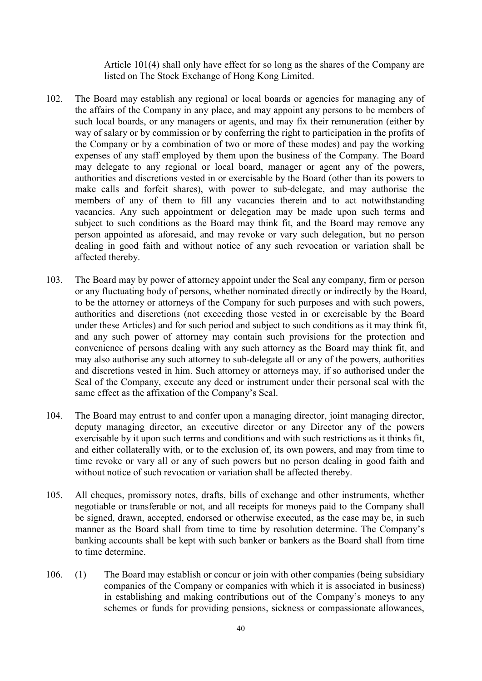Article 101(4) shall only have effect for so long as the shares of the Company are listed on The Stock Exchange of Hong Kong Limited.

- 102. The Board may establish any regional or local boards or agencies for managing any of the affairs of the Company in any place, and may appoint any persons to be members of such local boards, or any managers or agents, and may fix their remuneration (either by way of salary or by commission or by conferring the right to participation in the profits of the Company or by a combination of two or more of these modes) and pay the working expenses of any staff employed by them upon the business of the Company. The Board may delegate to any regional or local board, manager or agent any of the powers, authorities and discretions vested in or exercisable by the Board (other than its powers to make calls and forfeit shares), with power to sub-delegate, and may authorise the members of any of them to fill any vacancies therein and to act notwithstanding vacancies. Any such appointment or delegation may be made upon such terms and subject to such conditions as the Board may think fit, and the Board may remove any person appointed as aforesaid, and may revoke or vary such delegation, but no person dealing in good faith and without notice of any such revocation or variation shall be affected thereby.
- 103. The Board may by power of attorney appoint under the Seal any company, firm or person or any fluctuating body of persons, whether nominated directly or indirectly by the Board, to be the attorney or attorneys of the Company for such purposes and with such powers, authorities and discretions (not exceeding those vested in or exercisable by the Board under these Articles) and for such period and subject to such conditions as it may think fit, and any such power of attorney may contain such provisions for the protection and convenience of persons dealing with any such attorney as the Board may think fit, and may also authorise any such attorney to sub-delegate all or any of the powers, authorities and discretions vested in him. Such attorney or attorneys may, if so authorised under the Seal of the Company, execute any deed or instrument under their personal seal with the same effect as the affixation of the Company's Seal.
- 104. The Board may entrust to and confer upon a managing director, joint managing director, deputy managing director, an executive director or any Director any of the powers exercisable by it upon such terms and conditions and with such restrictions as it thinks fit, and either collaterally with, or to the exclusion of, its own powers, and may from time to time revoke or vary all or any of such powers but no person dealing in good faith and without notice of such revocation or variation shall be affected thereby.
- 105. All cheques, promissory notes, drafts, bills of exchange and other instruments, whether negotiable or transferable or not, and all receipts for moneys paid to the Company shall be signed, drawn, accepted, endorsed or otherwise executed, as the case may be, in such manner as the Board shall from time to time by resolution determine. The Company's banking accounts shall be kept with such banker or bankers as the Board shall from time to time determine.
- 106. (1) The Board may establish or concur or join with other companies (being subsidiary companies of the Company or companies with which it is associated in business) in establishing and making contributions out of the Company's moneys to any schemes or funds for providing pensions, sickness or compassionate allowances,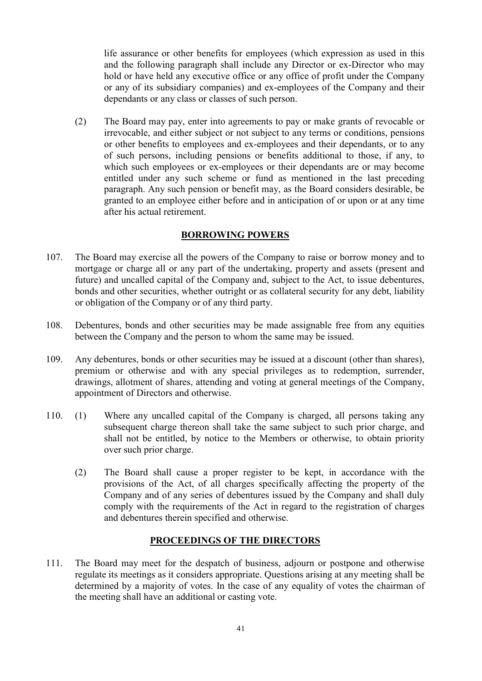life assurance or other benefits for employees (which expression as used in this and the following paragraph shall include any Director or ex-Director who may hold or have held any executive office or any office of profit under the Company or any of its subsidiary companies) and ex-employees of the Company and their dependants or any class or classes of such person.

(2) The Board may pay, enter into agreements to pay or make grants of revocable or irrevocable, and either subject or not subject to any terms or conditions, pensions or other benefits to employees and ex-employees and their dependants, or to any of such persons, including pensions or benefits additional to those, if any, to which such employees or ex-employees or their dependants are or may become entitled under any such scheme or fund as mentioned in the last preceding paragraph. Any such pension or benefit may, as the Board considers desirable, be granted to an employee either before and in anticipation of or upon or at any time after his actual retirement.

## BORROWING POWERS

- 107. The Board may exercise all the powers of the Company to raise or borrow money and to mortgage or charge all or any part of the undertaking, property and assets (present and future) and uncalled capital of the Company and, subject to the Act, to issue debentures, bonds and other securities, whether outright or as collateral security for any debt, liability or obligation of the Company or of any third party.
- 108. Debentures, bonds and other securities may be made assignable free from any equities between the Company and the person to whom the same may be issued.
- 109. Any debentures, bonds or other securities may be issued at a discount (other than shares), premium or otherwise and with any special privileges as to redemption, surrender, drawings, allotment of shares, attending and voting at general meetings of the Company, appointment of Directors and otherwise.
- 110. (1) Where any uncalled capital of the Company is charged, all persons taking any subsequent charge thereon shall take the same subject to such prior charge, and shall not be entitled, by notice to the Members or otherwise, to obtain priority over such prior charge.
	- (2) The Board shall cause a proper register to be kept, in accordance with the provisions of the Act, of all charges specifically affecting the property of the Company and of any series of debentures issued by the Company and shall duly comply with the requirements of the Act in regard to the registration of charges and debentures therein specified and otherwise.

### PROCEEDINGS OF THE DIRECTORS

111. The Board may meet for the despatch of business, adjourn or postpone and otherwise regulate its meetings as it considers appropriate. Questions arising at any meeting shall be determined by a majority of votes. In the case of any equality of votes the chairman of the meeting shall have an additional or casting vote.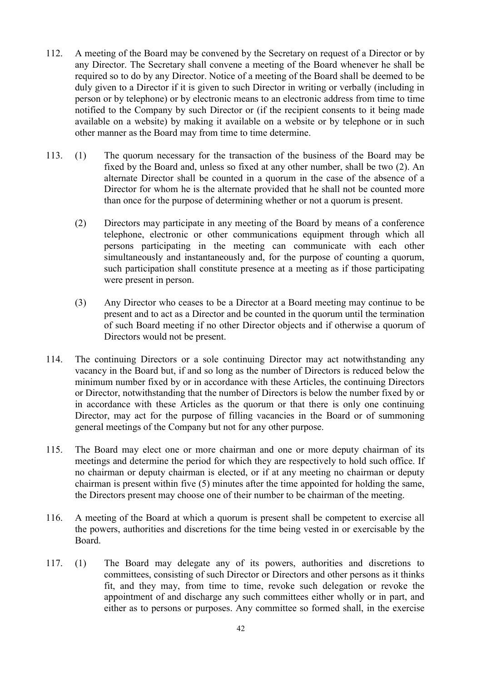- 112. A meeting of the Board may be convened by the Secretary on request of a Director or by any Director. The Secretary shall convene a meeting of the Board whenever he shall be required so to do by any Director. Notice of a meeting of the Board shall be deemed to be duly given to a Director if it is given to such Director in writing or verbally (including in person or by telephone) or by electronic means to an electronic address from time to time notified to the Company by such Director or (if the recipient consents to it being made available on a website) by making it available on a website or by telephone or in such other manner as the Board may from time to time determine.
- 113. (1) The quorum necessary for the transaction of the business of the Board may be fixed by the Board and, unless so fixed at any other number, shall be two (2). An alternate Director shall be counted in a quorum in the case of the absence of a Director for whom he is the alternate provided that he shall not be counted more than once for the purpose of determining whether or not a quorum is present.
	- (2) Directors may participate in any meeting of the Board by means of a conference telephone, electronic or other communications equipment through which all persons participating in the meeting can communicate with each other simultaneously and instantaneously and, for the purpose of counting a quorum, such participation shall constitute presence at a meeting as if those participating were present in person.
	- (3) Any Director who ceases to be a Director at a Board meeting may continue to be present and to act as a Director and be counted in the quorum until the termination of such Board meeting if no other Director objects and if otherwise a quorum of Directors would not be present.
- 114. The continuing Directors or a sole continuing Director may act notwithstanding any vacancy in the Board but, if and so long as the number of Directors is reduced below the minimum number fixed by or in accordance with these Articles, the continuing Directors or Director, notwithstanding that the number of Directors is below the number fixed by or in accordance with these Articles as the quorum or that there is only one continuing Director, may act for the purpose of filling vacancies in the Board or of summoning general meetings of the Company but not for any other purpose.
- 115. The Board may elect one or more chairman and one or more deputy chairman of its meetings and determine the period for which they are respectively to hold such office. If no chairman or deputy chairman is elected, or if at any meeting no chairman or deputy chairman is present within five (5) minutes after the time appointed for holding the same, the Directors present may choose one of their number to be chairman of the meeting.
- 116. A meeting of the Board at which a quorum is present shall be competent to exercise all the powers, authorities and discretions for the time being vested in or exercisable by the Board.
- 117. (1) The Board may delegate any of its powers, authorities and discretions to committees, consisting of such Director or Directors and other persons as it thinks fit, and they may, from time to time, revoke such delegation or revoke the appointment of and discharge any such committees either wholly or in part, and either as to persons or purposes. Any committee so formed shall, in the exercise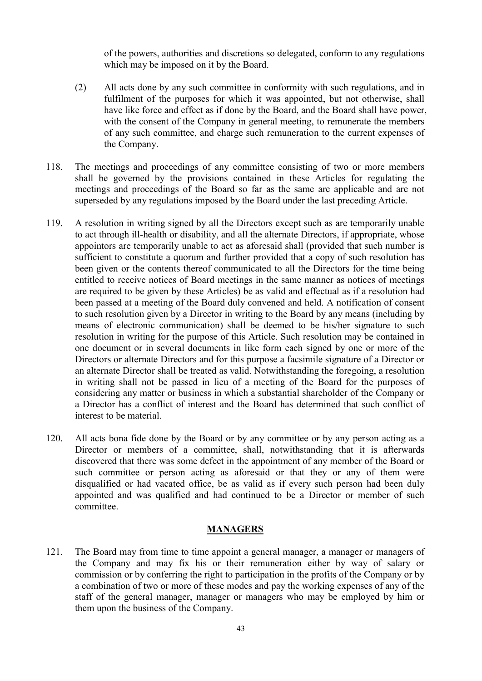of the powers, authorities and discretions so delegated, conform to any regulations which may be imposed on it by the Board.

- (2) All acts done by any such committee in conformity with such regulations, and in fulfilment of the purposes for which it was appointed, but not otherwise, shall have like force and effect as if done by the Board, and the Board shall have power, with the consent of the Company in general meeting, to remunerate the members of any such committee, and charge such remuneration to the current expenses of the Company.
- 118. The meetings and proceedings of any committee consisting of two or more members shall be governed by the provisions contained in these Articles for regulating the meetings and proceedings of the Board so far as the same are applicable and are not superseded by any regulations imposed by the Board under the last preceding Article.
- 119. A resolution in writing signed by all the Directors except such as are temporarily unable to act through ill-health or disability, and all the alternate Directors, if appropriate, whose appointors are temporarily unable to act as aforesaid shall (provided that such number is sufficient to constitute a quorum and further provided that a copy of such resolution has been given or the contents thereof communicated to all the Directors for the time being entitled to receive notices of Board meetings in the same manner as notices of meetings are required to be given by these Articles) be as valid and effectual as if a resolution had been passed at a meeting of the Board duly convened and held. A notification of consent to such resolution given by a Director in writing to the Board by any means (including by means of electronic communication) shall be deemed to be his/her signature to such resolution in writing for the purpose of this Article. Such resolution may be contained in one document or in several documents in like form each signed by one or more of the Directors or alternate Directors and for this purpose a facsimile signature of a Director or an alternate Director shall be treated as valid. Notwithstanding the foregoing, a resolution in writing shall not be passed in lieu of a meeting of the Board for the purposes of considering any matter or business in which a substantial shareholder of the Company or a Director has a conflict of interest and the Board has determined that such conflict of interest to be material.
- 120. All acts bona fide done by the Board or by any committee or by any person acting as a Director or members of a committee, shall, notwithstanding that it is afterwards discovered that there was some defect in the appointment of any member of the Board or such committee or person acting as aforesaid or that they or any of them were disqualified or had vacated office, be as valid as if every such person had been duly appointed and was qualified and had continued to be a Director or member of such committee.

### **MANAGERS**

121. The Board may from time to time appoint a general manager, a manager or managers of the Company and may fix his or their remuneration either by way of salary or commission or by conferring the right to participation in the profits of the Company or by a combination of two or more of these modes and pay the working expenses of any of the staff of the general manager, manager or managers who may be employed by him or them upon the business of the Company.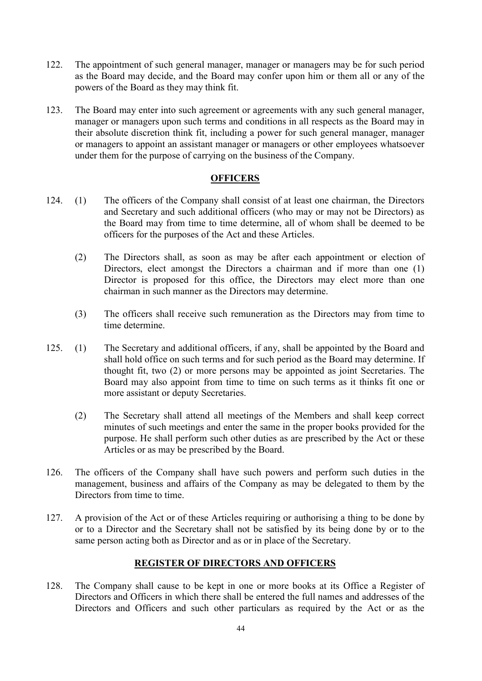- 122. The appointment of such general manager, manager or managers may be for such period as the Board may decide, and the Board may confer upon him or them all or any of the powers of the Board as they may think fit.
- 123. The Board may enter into such agreement or agreements with any such general manager, manager or managers upon such terms and conditions in all respects as the Board may in their absolute discretion think fit, including a power for such general manager, manager or managers to appoint an assistant manager or managers or other employees whatsoever under them for the purpose of carrying on the business of the Company.

## **OFFICERS**

- 124. (1) The officers of the Company shall consist of at least one chairman, the Directors and Secretary and such additional officers (who may or may not be Directors) as the Board may from time to time determine, all of whom shall be deemed to be officers for the purposes of the Act and these Articles.
	- (2) The Directors shall, as soon as may be after each appointment or election of Directors, elect amongst the Directors a chairman and if more than one (1) Director is proposed for this office, the Directors may elect more than one chairman in such manner as the Directors may determine.
	- (3) The officers shall receive such remuneration as the Directors may from time to time determine.
- 125. (1) The Secretary and additional officers, if any, shall be appointed by the Board and shall hold office on such terms and for such period as the Board may determine. If thought fit, two (2) or more persons may be appointed as joint Secretaries. The Board may also appoint from time to time on such terms as it thinks fit one or more assistant or deputy Secretaries.
	- (2) The Secretary shall attend all meetings of the Members and shall keep correct minutes of such meetings and enter the same in the proper books provided for the purpose. He shall perform such other duties as are prescribed by the Act or these Articles or as may be prescribed by the Board.
- 126. The officers of the Company shall have such powers and perform such duties in the management, business and affairs of the Company as may be delegated to them by the Directors from time to time.
- 127. A provision of the Act or of these Articles requiring or authorising a thing to be done by or to a Director and the Secretary shall not be satisfied by its being done by or to the same person acting both as Director and as or in place of the Secretary.

# REGISTER OF DIRECTORS AND OFFICERS

128. The Company shall cause to be kept in one or more books at its Office a Register of Directors and Officers in which there shall be entered the full names and addresses of the Directors and Officers and such other particulars as required by the Act or as the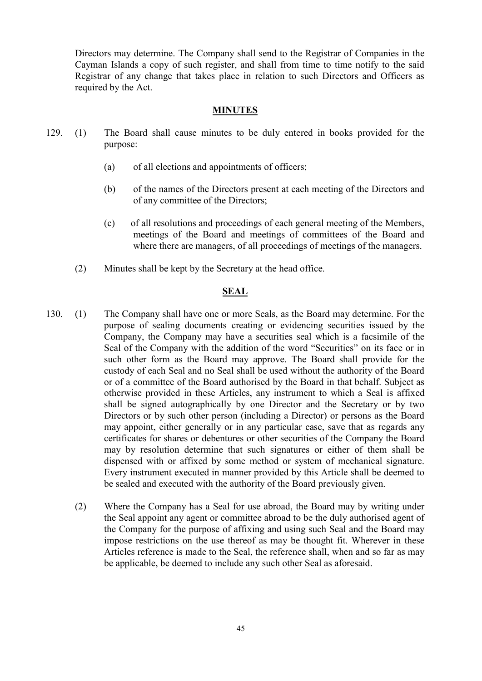Directors may determine. The Company shall send to the Registrar of Companies in the Cayman Islands a copy of such register, and shall from time to time notify to the said Registrar of any change that takes place in relation to such Directors and Officers as required by the Act.

## MINUTES

- 129. (1) The Board shall cause minutes to be duly entered in books provided for the purpose:
	- (a) of all elections and appointments of officers;
	- (b) of the names of the Directors present at each meeting of the Directors and of any committee of the Directors;
	- (c) of all resolutions and proceedings of each general meeting of the Members, meetings of the Board and meetings of committees of the Board and where there are managers, of all proceedings of meetings of the managers.
	- (2) Minutes shall be kept by the Secretary at the head office.

#### **SEAL**

- 130. (1) The Company shall have one or more Seals, as the Board may determine. For the purpose of sealing documents creating or evidencing securities issued by the Company, the Company may have a securities seal which is a facsimile of the Seal of the Company with the addition of the word "Securities" on its face or in such other form as the Board may approve. The Board shall provide for the custody of each Seal and no Seal shall be used without the authority of the Board or of a committee of the Board authorised by the Board in that behalf. Subject as otherwise provided in these Articles, any instrument to which a Seal is affixed shall be signed autographically by one Director and the Secretary or by two Directors or by such other person (including a Director) or persons as the Board may appoint, either generally or in any particular case, save that as regards any certificates for shares or debentures or other securities of the Company the Board may by resolution determine that such signatures or either of them shall be dispensed with or affixed by some method or system of mechanical signature. Every instrument executed in manner provided by this Article shall be deemed to be sealed and executed with the authority of the Board previously given.
	- (2) Where the Company has a Seal for use abroad, the Board may by writing under the Seal appoint any agent or committee abroad to be the duly authorised agent of the Company for the purpose of affixing and using such Seal and the Board may impose restrictions on the use thereof as may be thought fit. Wherever in these Articles reference is made to the Seal, the reference shall, when and so far as may be applicable, be deemed to include any such other Seal as aforesaid.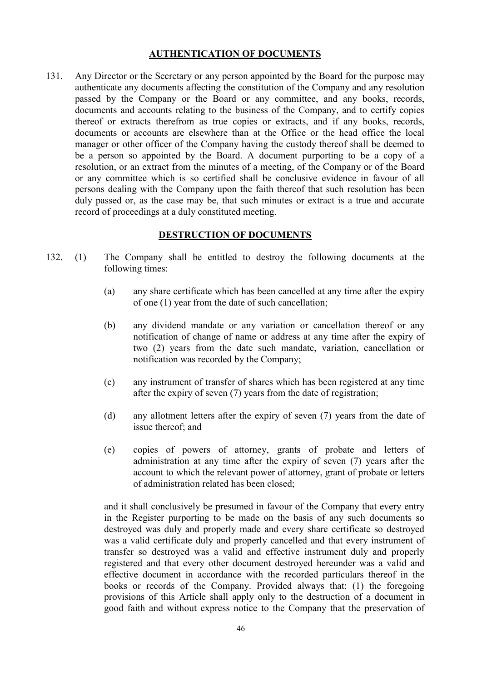### AUTHENTICATION OF DOCUMENTS

131. Any Director or the Secretary or any person appointed by the Board for the purpose may authenticate any documents affecting the constitution of the Company and any resolution passed by the Company or the Board or any committee, and any books, records, documents and accounts relating to the business of the Company, and to certify copies thereof or extracts therefrom as true copies or extracts, and if any books, records, documents or accounts are elsewhere than at the Office or the head office the local manager or other officer of the Company having the custody thereof shall be deemed to be a person so appointed by the Board. A document purporting to be a copy of a resolution, or an extract from the minutes of a meeting, of the Company or of the Board or any committee which is so certified shall be conclusive evidence in favour of all persons dealing with the Company upon the faith thereof that such resolution has been duly passed or, as the case may be, that such minutes or extract is a true and accurate record of proceedings at a duly constituted meeting.

## DESTRUCTION OF DOCUMENTS

- 132. (1) The Company shall be entitled to destroy the following documents at the following times:
	- (a) any share certificate which has been cancelled at any time after the expiry of one (1) year from the date of such cancellation;
	- (b) any dividend mandate or any variation or cancellation thereof or any notification of change of name or address at any time after the expiry of two (2) years from the date such mandate, variation, cancellation or notification was recorded by the Company;
	- (c) any instrument of transfer of shares which has been registered at any time after the expiry of seven (7) years from the date of registration;
	- (d) any allotment letters after the expiry of seven (7) years from the date of issue thereof; and
	- (e) copies of powers of attorney, grants of probate and letters of administration at any time after the expiry of seven (7) years after the account to which the relevant power of attorney, grant of probate or letters of administration related has been closed;

and it shall conclusively be presumed in favour of the Company that every entry in the Register purporting to be made on the basis of any such documents so destroyed was duly and properly made and every share certificate so destroyed was a valid certificate duly and properly cancelled and that every instrument of transfer so destroyed was a valid and effective instrument duly and properly registered and that every other document destroyed hereunder was a valid and effective document in accordance with the recorded particulars thereof in the books or records of the Company. Provided always that: (1) the foregoing provisions of this Article shall apply only to the destruction of a document in good faith and without express notice to the Company that the preservation of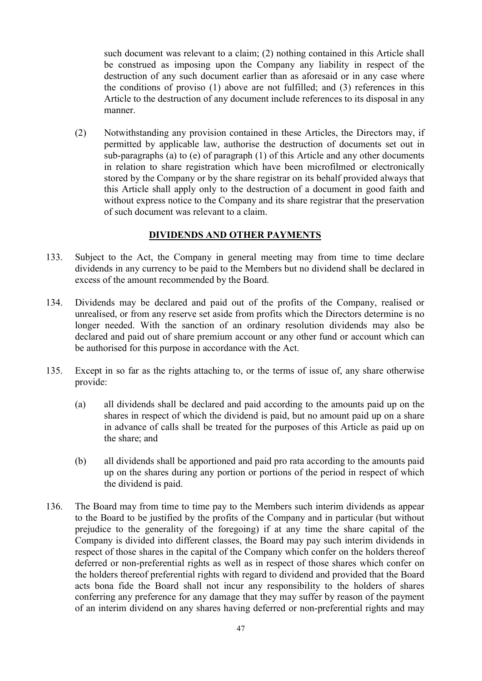such document was relevant to a claim; (2) nothing contained in this Article shall be construed as imposing upon the Company any liability in respect of the destruction of any such document earlier than as aforesaid or in any case where the conditions of proviso (1) above are not fulfilled; and (3) references in this Article to the destruction of any document include references to its disposal in any manner.

(2) Notwithstanding any provision contained in these Articles, the Directors may, if permitted by applicable law, authorise the destruction of documents set out in sub-paragraphs (a) to (e) of paragraph (1) of this Article and any other documents in relation to share registration which have been microfilmed or electronically stored by the Company or by the share registrar on its behalf provided always that this Article shall apply only to the destruction of a document in good faith and without express notice to the Company and its share registrar that the preservation of such document was relevant to a claim.

## DIVIDENDS AND OTHER PAYMENTS

- 133. Subject to the Act, the Company in general meeting may from time to time declare dividends in any currency to be paid to the Members but no dividend shall be declared in excess of the amount recommended by the Board.
- 134. Dividends may be declared and paid out of the profits of the Company, realised or unrealised, or from any reserve set aside from profits which the Directors determine is no longer needed. With the sanction of an ordinary resolution dividends may also be declared and paid out of share premium account or any other fund or account which can be authorised for this purpose in accordance with the Act.
- 135. Except in so far as the rights attaching to, or the terms of issue of, any share otherwise provide:
	- (a) all dividends shall be declared and paid according to the amounts paid up on the shares in respect of which the dividend is paid, but no amount paid up on a share in advance of calls shall be treated for the purposes of this Article as paid up on the share; and
	- (b) all dividends shall be apportioned and paid pro rata according to the amounts paid up on the shares during any portion or portions of the period in respect of which the dividend is paid.
- 136. The Board may from time to time pay to the Members such interim dividends as appear to the Board to be justified by the profits of the Company and in particular (but without prejudice to the generality of the foregoing) if at any time the share capital of the Company is divided into different classes, the Board may pay such interim dividends in respect of those shares in the capital of the Company which confer on the holders thereof deferred or non-preferential rights as well as in respect of those shares which confer on the holders thereof preferential rights with regard to dividend and provided that the Board acts bona fide the Board shall not incur any responsibility to the holders of shares conferring any preference for any damage that they may suffer by reason of the payment of an interim dividend on any shares having deferred or non-preferential rights and may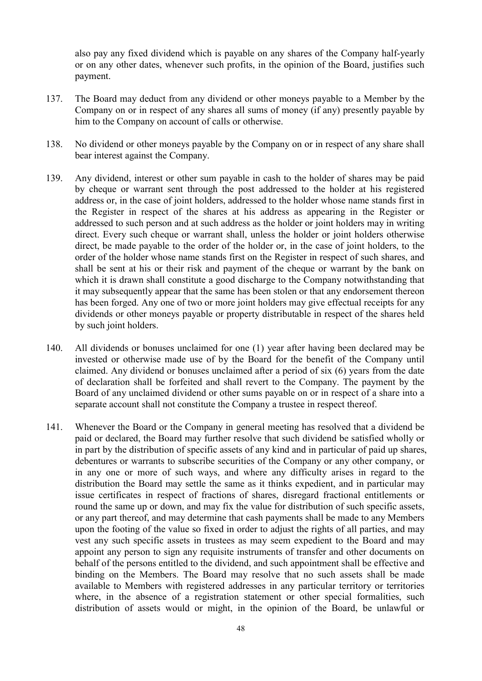also pay any fixed dividend which is payable on any shares of the Company half-yearly or on any other dates, whenever such profits, in the opinion of the Board, justifies such payment.

- 137. The Board may deduct from any dividend or other moneys payable to a Member by the Company on or in respect of any shares all sums of money (if any) presently payable by him to the Company on account of calls or otherwise.
- 138. No dividend or other moneys payable by the Company on or in respect of any share shall bear interest against the Company.
- 139. Any dividend, interest or other sum payable in cash to the holder of shares may be paid by cheque or warrant sent through the post addressed to the holder at his registered address or, in the case of joint holders, addressed to the holder whose name stands first in the Register in respect of the shares at his address as appearing in the Register or addressed to such person and at such address as the holder or joint holders may in writing direct. Every such cheque or warrant shall, unless the holder or joint holders otherwise direct, be made payable to the order of the holder or, in the case of joint holders, to the order of the holder whose name stands first on the Register in respect of such shares, and shall be sent at his or their risk and payment of the cheque or warrant by the bank on which it is drawn shall constitute a good discharge to the Company notwithstanding that it may subsequently appear that the same has been stolen or that any endorsement thereon has been forged. Any one of two or more joint holders may give effectual receipts for any dividends or other moneys payable or property distributable in respect of the shares held by such joint holders.
- 140. All dividends or bonuses unclaimed for one (1) year after having been declared may be invested or otherwise made use of by the Board for the benefit of the Company until claimed. Any dividend or bonuses unclaimed after a period of six (6) years from the date of declaration shall be forfeited and shall revert to the Company. The payment by the Board of any unclaimed dividend or other sums payable on or in respect of a share into a separate account shall not constitute the Company a trustee in respect thereof.
- 141. Whenever the Board or the Company in general meeting has resolved that a dividend be paid or declared, the Board may further resolve that such dividend be satisfied wholly or in part by the distribution of specific assets of any kind and in particular of paid up shares, debentures or warrants to subscribe securities of the Company or any other company, or in any one or more of such ways, and where any difficulty arises in regard to the distribution the Board may settle the same as it thinks expedient, and in particular may issue certificates in respect of fractions of shares, disregard fractional entitlements or round the same up or down, and may fix the value for distribution of such specific assets, or any part thereof, and may determine that cash payments shall be made to any Members upon the footing of the value so fixed in order to adjust the rights of all parties, and may vest any such specific assets in trustees as may seem expedient to the Board and may appoint any person to sign any requisite instruments of transfer and other documents on behalf of the persons entitled to the dividend, and such appointment shall be effective and binding on the Members. The Board may resolve that no such assets shall be made available to Members with registered addresses in any particular territory or territories where, in the absence of a registration statement or other special formalities, such distribution of assets would or might, in the opinion of the Board, be unlawful or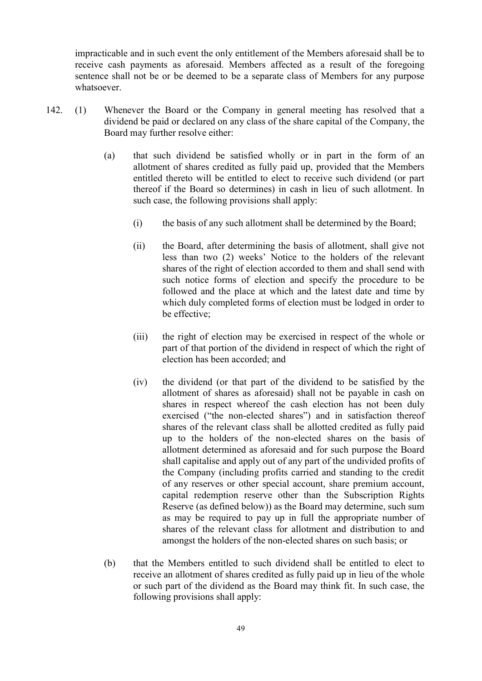impracticable and in such event the only entitlement of the Members aforesaid shall be to receive cash payments as aforesaid. Members affected as a result of the foregoing sentence shall not be or be deemed to be a separate class of Members for any purpose whatsoever.

- 142. (1) Whenever the Board or the Company in general meeting has resolved that a dividend be paid or declared on any class of the share capital of the Company, the Board may further resolve either:
	- (a) that such dividend be satisfied wholly or in part in the form of an allotment of shares credited as fully paid up, provided that the Members entitled thereto will be entitled to elect to receive such dividend (or part thereof if the Board so determines) in cash in lieu of such allotment. In such case, the following provisions shall apply:
		- (i) the basis of any such allotment shall be determined by the Board;
		- (ii) the Board, after determining the basis of allotment, shall give not less than two (2) weeks' Notice to the holders of the relevant shares of the right of election accorded to them and shall send with such notice forms of election and specify the procedure to be followed and the place at which and the latest date and time by which duly completed forms of election must be lodged in order to be effective;
		- (iii) the right of election may be exercised in respect of the whole or part of that portion of the dividend in respect of which the right of election has been accorded; and
		- (iv) the dividend (or that part of the dividend to be satisfied by the allotment of shares as aforesaid) shall not be payable in cash on shares in respect whereof the cash election has not been duly exercised ("the non-elected shares") and in satisfaction thereof shares of the relevant class shall be allotted credited as fully paid up to the holders of the non-elected shares on the basis of allotment determined as aforesaid and for such purpose the Board shall capitalise and apply out of any part of the undivided profits of the Company (including profits carried and standing to the credit of any reserves or other special account, share premium account, capital redemption reserve other than the Subscription Rights Reserve (as defined below)) as the Board may determine, such sum as may be required to pay up in full the appropriate number of shares of the relevant class for allotment and distribution to and amongst the holders of the non-elected shares on such basis; or
	- (b) that the Members entitled to such dividend shall be entitled to elect to receive an allotment of shares credited as fully paid up in lieu of the whole or such part of the dividend as the Board may think fit. In such case, the following provisions shall apply: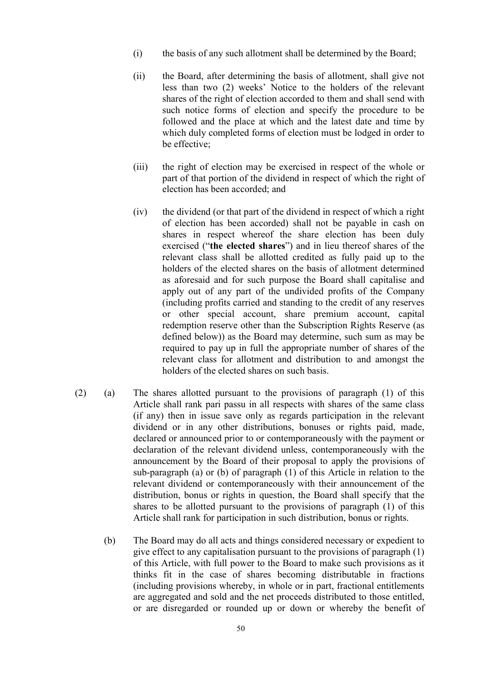- (i) the basis of any such allotment shall be determined by the Board;
- (ii) the Board, after determining the basis of allotment, shall give not less than two (2) weeks' Notice to the holders of the relevant shares of the right of election accorded to them and shall send with such notice forms of election and specify the procedure to be followed and the place at which and the latest date and time by which duly completed forms of election must be lodged in order to be effective;
- (iii) the right of election may be exercised in respect of the whole or part of that portion of the dividend in respect of which the right of election has been accorded; and
- (iv) the dividend (or that part of the dividend in respect of which a right of election has been accorded) shall not be payable in cash on shares in respect whereof the share election has been duly exercised ("the elected shares") and in lieu thereof shares of the relevant class shall be allotted credited as fully paid up to the holders of the elected shares on the basis of allotment determined as aforesaid and for such purpose the Board shall capitalise and apply out of any part of the undivided profits of the Company (including profits carried and standing to the credit of any reserves or other special account, share premium account, capital redemption reserve other than the Subscription Rights Reserve (as defined below)) as the Board may determine, such sum as may be required to pay up in full the appropriate number of shares of the relevant class for allotment and distribution to and amongst the holders of the elected shares on such basis.
- (2) (a) The shares allotted pursuant to the provisions of paragraph (1) of this Article shall rank pari passu in all respects with shares of the same class (if any) then in issue save only as regards participation in the relevant dividend or in any other distributions, bonuses or rights paid, made, declared or announced prior to or contemporaneously with the payment or declaration of the relevant dividend unless, contemporaneously with the announcement by the Board of their proposal to apply the provisions of sub-paragraph (a) or (b) of paragraph (1) of this Article in relation to the relevant dividend or contemporaneously with their announcement of the distribution, bonus or rights in question, the Board shall specify that the shares to be allotted pursuant to the provisions of paragraph (1) of this Article shall rank for participation in such distribution, bonus or rights.
	- (b) The Board may do all acts and things considered necessary or expedient to give effect to any capitalisation pursuant to the provisions of paragraph (1) of this Article, with full power to the Board to make such provisions as it thinks fit in the case of shares becoming distributable in fractions (including provisions whereby, in whole or in part, fractional entitlements are aggregated and sold and the net proceeds distributed to those entitled, or are disregarded or rounded up or down or whereby the benefit of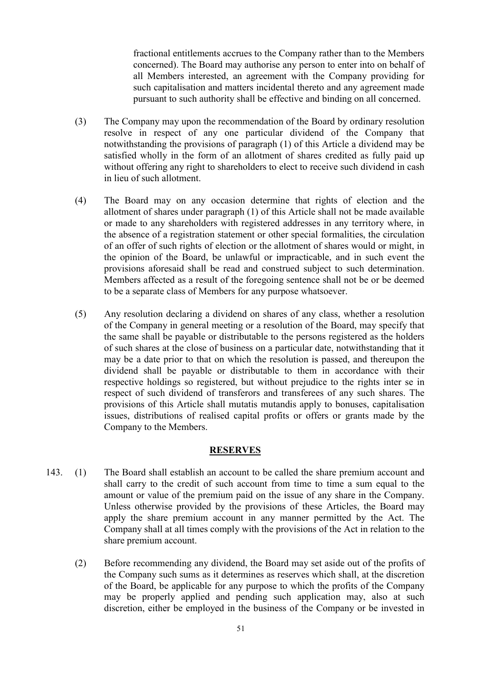fractional entitlements accrues to the Company rather than to the Members concerned). The Board may authorise any person to enter into on behalf of all Members interested, an agreement with the Company providing for such capitalisation and matters incidental thereto and any agreement made pursuant to such authority shall be effective and binding on all concerned.

- (3) The Company may upon the recommendation of the Board by ordinary resolution resolve in respect of any one particular dividend of the Company that notwithstanding the provisions of paragraph (1) of this Article a dividend may be satisfied wholly in the form of an allotment of shares credited as fully paid up without offering any right to shareholders to elect to receive such dividend in cash in lieu of such allotment.
- (4) The Board may on any occasion determine that rights of election and the allotment of shares under paragraph (1) of this Article shall not be made available or made to any shareholders with registered addresses in any territory where, in the absence of a registration statement or other special formalities, the circulation of an offer of such rights of election or the allotment of shares would or might, in the opinion of the Board, be unlawful or impracticable, and in such event the provisions aforesaid shall be read and construed subject to such determination. Members affected as a result of the foregoing sentence shall not be or be deemed to be a separate class of Members for any purpose whatsoever.
- (5) Any resolution declaring a dividend on shares of any class, whether a resolution of the Company in general meeting or a resolution of the Board, may specify that the same shall be payable or distributable to the persons registered as the holders of such shares at the close of business on a particular date, notwithstanding that it may be a date prior to that on which the resolution is passed, and thereupon the dividend shall be payable or distributable to them in accordance with their respective holdings so registered, but without prejudice to the rights inter se in respect of such dividend of transferors and transferees of any such shares. The provisions of this Article shall mutatis mutandis apply to bonuses, capitalisation issues, distributions of realised capital profits or offers or grants made by the Company to the Members.

## RESERVES

- 143. (1) The Board shall establish an account to be called the share premium account and shall carry to the credit of such account from time to time a sum equal to the amount or value of the premium paid on the issue of any share in the Company. Unless otherwise provided by the provisions of these Articles, the Board may apply the share premium account in any manner permitted by the Act. The Company shall at all times comply with the provisions of the Act in relation to the share premium account.
	- (2) Before recommending any dividend, the Board may set aside out of the profits of the Company such sums as it determines as reserves which shall, at the discretion of the Board, be applicable for any purpose to which the profits of the Company may be properly applied and pending such application may, also at such discretion, either be employed in the business of the Company or be invested in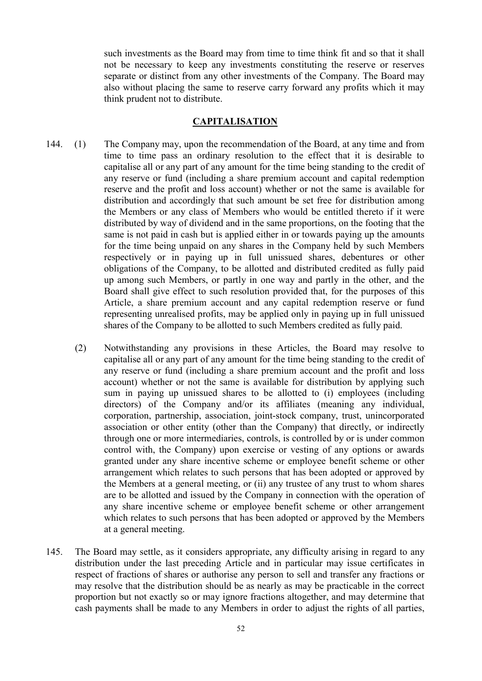such investments as the Board may from time to time think fit and so that it shall not be necessary to keep any investments constituting the reserve or reserves separate or distinct from any other investments of the Company. The Board may also without placing the same to reserve carry forward any profits which it may think prudent not to distribute.

## CAPITALISATION

- 144. (1) The Company may, upon the recommendation of the Board, at any time and from time to time pass an ordinary resolution to the effect that it is desirable to capitalise all or any part of any amount for the time being standing to the credit of any reserve or fund (including a share premium account and capital redemption reserve and the profit and loss account) whether or not the same is available for distribution and accordingly that such amount be set free for distribution among the Members or any class of Members who would be entitled thereto if it were distributed by way of dividend and in the same proportions, on the footing that the same is not paid in cash but is applied either in or towards paying up the amounts for the time being unpaid on any shares in the Company held by such Members respectively or in paying up in full unissued shares, debentures or other obligations of the Company, to be allotted and distributed credited as fully paid up among such Members, or partly in one way and partly in the other, and the Board shall give effect to such resolution provided that, for the purposes of this Article, a share premium account and any capital redemption reserve or fund representing unrealised profits, may be applied only in paying up in full unissued shares of the Company to be allotted to such Members credited as fully paid.
	- (2) Notwithstanding any provisions in these Articles, the Board may resolve to capitalise all or any part of any amount for the time being standing to the credit of any reserve or fund (including a share premium account and the profit and loss account) whether or not the same is available for distribution by applying such sum in paying up unissued shares to be allotted to (i) employees (including directors) of the Company and/or its affiliates (meaning any individual, corporation, partnership, association, joint-stock company, trust, unincorporated association or other entity (other than the Company) that directly, or indirectly through one or more intermediaries, controls, is controlled by or is under common control with, the Company) upon exercise or vesting of any options or awards granted under any share incentive scheme or employee benefit scheme or other arrangement which relates to such persons that has been adopted or approved by the Members at a general meeting, or (ii) any trustee of any trust to whom shares are to be allotted and issued by the Company in connection with the operation of any share incentive scheme or employee benefit scheme or other arrangement which relates to such persons that has been adopted or approved by the Members at a general meeting.
- 145. The Board may settle, as it considers appropriate, any difficulty arising in regard to any distribution under the last preceding Article and in particular may issue certificates in respect of fractions of shares or authorise any person to sell and transfer any fractions or may resolve that the distribution should be as nearly as may be practicable in the correct proportion but not exactly so or may ignore fractions altogether, and may determine that cash payments shall be made to any Members in order to adjust the rights of all parties,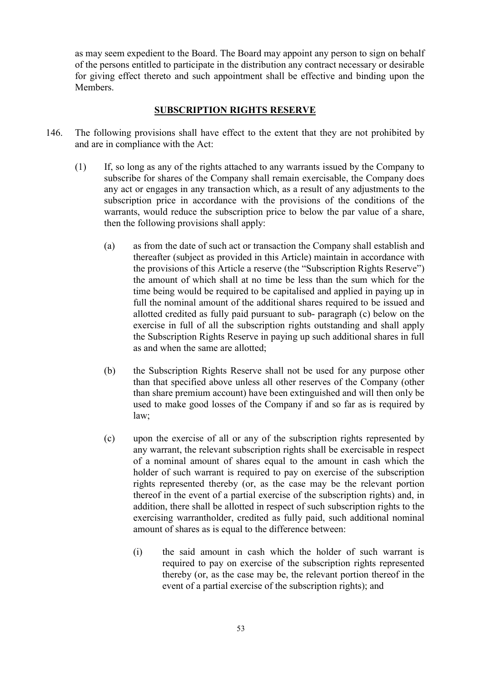as may seem expedient to the Board. The Board may appoint any person to sign on behalf of the persons entitled to participate in the distribution any contract necessary or desirable for giving effect thereto and such appointment shall be effective and binding upon the **Members** 

## SUBSCRIPTION RIGHTS RESERVE

- 146. The following provisions shall have effect to the extent that they are not prohibited by and are in compliance with the Act:
	- (1) If, so long as any of the rights attached to any warrants issued by the Company to subscribe for shares of the Company shall remain exercisable, the Company does any act or engages in any transaction which, as a result of any adjustments to the subscription price in accordance with the provisions of the conditions of the warrants, would reduce the subscription price to below the par value of a share, then the following provisions shall apply:
		- (a) as from the date of such act or transaction the Company shall establish and thereafter (subject as provided in this Article) maintain in accordance with the provisions of this Article a reserve (the "Subscription Rights Reserve") the amount of which shall at no time be less than the sum which for the time being would be required to be capitalised and applied in paying up in full the nominal amount of the additional shares required to be issued and allotted credited as fully paid pursuant to sub- paragraph (c) below on the exercise in full of all the subscription rights outstanding and shall apply the Subscription Rights Reserve in paying up such additional shares in full as and when the same are allotted;
		- (b) the Subscription Rights Reserve shall not be used for any purpose other than that specified above unless all other reserves of the Company (other than share premium account) have been extinguished and will then only be used to make good losses of the Company if and so far as is required by law;
		- (c) upon the exercise of all or any of the subscription rights represented by any warrant, the relevant subscription rights shall be exercisable in respect of a nominal amount of shares equal to the amount in cash which the holder of such warrant is required to pay on exercise of the subscription rights represented thereby (or, as the case may be the relevant portion thereof in the event of a partial exercise of the subscription rights) and, in addition, there shall be allotted in respect of such subscription rights to the exercising warrantholder, credited as fully paid, such additional nominal amount of shares as is equal to the difference between:
			- (i) the said amount in cash which the holder of such warrant is required to pay on exercise of the subscription rights represented thereby (or, as the case may be, the relevant portion thereof in the event of a partial exercise of the subscription rights); and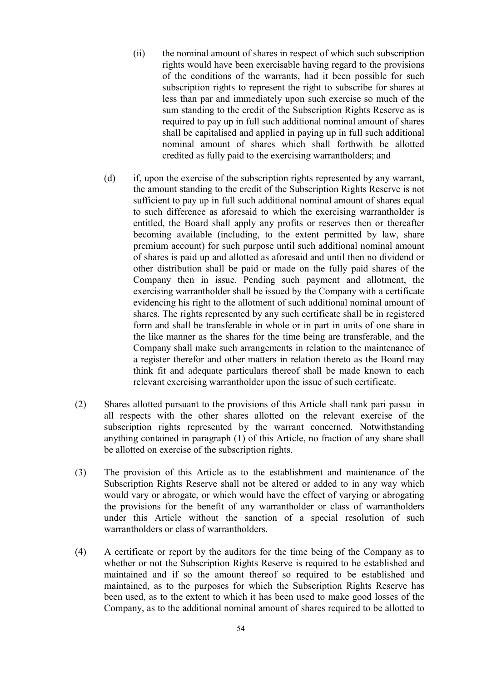- (ii) the nominal amount of shares in respect of which such subscription rights would have been exercisable having regard to the provisions of the conditions of the warrants, had it been possible for such subscription rights to represent the right to subscribe for shares at less than par and immediately upon such exercise so much of the sum standing to the credit of the Subscription Rights Reserve as is required to pay up in full such additional nominal amount of shares shall be capitalised and applied in paying up in full such additional nominal amount of shares which shall forthwith be allotted credited as fully paid to the exercising warrantholders; and
- (d) if, upon the exercise of the subscription rights represented by any warrant, the amount standing to the credit of the Subscription Rights Reserve is not sufficient to pay up in full such additional nominal amount of shares equal to such difference as aforesaid to which the exercising warrantholder is entitled, the Board shall apply any profits or reserves then or thereafter becoming available (including, to the extent permitted by law, share premium account) for such purpose until such additional nominal amount of shares is paid up and allotted as aforesaid and until then no dividend or other distribution shall be paid or made on the fully paid shares of the Company then in issue. Pending such payment and allotment, the exercising warrantholder shall be issued by the Company with a certificate evidencing his right to the allotment of such additional nominal amount of shares. The rights represented by any such certificate shall be in registered form and shall be transferable in whole or in part in units of one share in the like manner as the shares for the time being are transferable, and the Company shall make such arrangements in relation to the maintenance of a register therefor and other matters in relation thereto as the Board may think fit and adequate particulars thereof shall be made known to each relevant exercising warrantholder upon the issue of such certificate.
- (2) Shares allotted pursuant to the provisions of this Article shall rank pari passu in all respects with the other shares allotted on the relevant exercise of the subscription rights represented by the warrant concerned. Notwithstanding anything contained in paragraph (1) of this Article, no fraction of any share shall be allotted on exercise of the subscription rights.
- (3) The provision of this Article as to the establishment and maintenance of the Subscription Rights Reserve shall not be altered or added to in any way which would vary or abrogate, or which would have the effect of varying or abrogating the provisions for the benefit of any warrantholder or class of warrantholders under this Article without the sanction of a special resolution of such warrantholders or class of warrantholders.
- (4) A certificate or report by the auditors for the time being of the Company as to whether or not the Subscription Rights Reserve is required to be established and maintained and if so the amount thereof so required to be established and maintained, as to the purposes for which the Subscription Rights Reserve has been used, as to the extent to which it has been used to make good losses of the Company, as to the additional nominal amount of shares required to be allotted to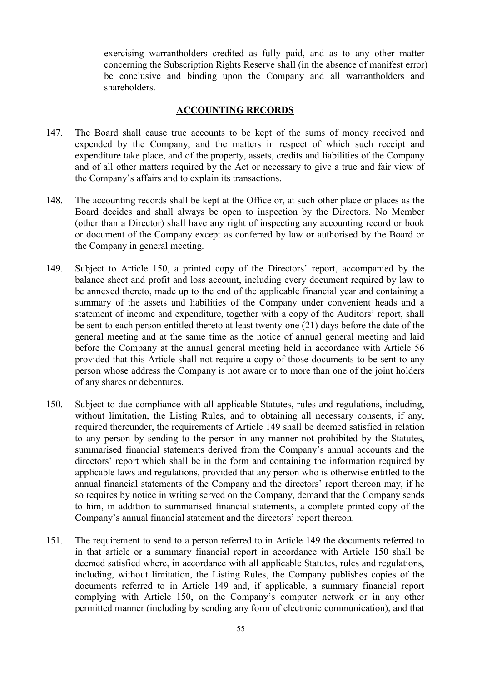exercising warrantholders credited as fully paid, and as to any other matter concerning the Subscription Rights Reserve shall (in the absence of manifest error) be conclusive and binding upon the Company and all warrantholders and shareholders.

### ACCOUNTING RECORDS

- 147. The Board shall cause true accounts to be kept of the sums of money received and expended by the Company, and the matters in respect of which such receipt and expenditure take place, and of the property, assets, credits and liabilities of the Company and of all other matters required by the Act or necessary to give a true and fair view of the Company's affairs and to explain its transactions.
- 148. The accounting records shall be kept at the Office or, at such other place or places as the Board decides and shall always be open to inspection by the Directors. No Member (other than a Director) shall have any right of inspecting any accounting record or book or document of the Company except as conferred by law or authorised by the Board or the Company in general meeting.
- 149. Subject to Article 150, a printed copy of the Directors' report, accompanied by the balance sheet and profit and loss account, including every document required by law to be annexed thereto, made up to the end of the applicable financial year and containing a summary of the assets and liabilities of the Company under convenient heads and a statement of income and expenditure, together with a copy of the Auditors' report, shall be sent to each person entitled thereto at least twenty-one (21) days before the date of the general meeting and at the same time as the notice of annual general meeting and laid before the Company at the annual general meeting held in accordance with Article 56 provided that this Article shall not require a copy of those documents to be sent to any person whose address the Company is not aware or to more than one of the joint holders of any shares or debentures.
- 150. Subject to due compliance with all applicable Statutes, rules and regulations, including, without limitation, the Listing Rules, and to obtaining all necessary consents, if any, required thereunder, the requirements of Article 149 shall be deemed satisfied in relation to any person by sending to the person in any manner not prohibited by the Statutes, summarised financial statements derived from the Company's annual accounts and the directors' report which shall be in the form and containing the information required by applicable laws and regulations, provided that any person who is otherwise entitled to the annual financial statements of the Company and the directors' report thereon may, if he so requires by notice in writing served on the Company, demand that the Company sends to him, in addition to summarised financial statements, a complete printed copy of the Company's annual financial statement and the directors' report thereon.
- 151. The requirement to send to a person referred to in Article 149 the documents referred to in that article or a summary financial report in accordance with Article 150 shall be deemed satisfied where, in accordance with all applicable Statutes, rules and regulations, including, without limitation, the Listing Rules, the Company publishes copies of the documents referred to in Article 149 and, if applicable, a summary financial report complying with Article 150, on the Company's computer network or in any other permitted manner (including by sending any form of electronic communication), and that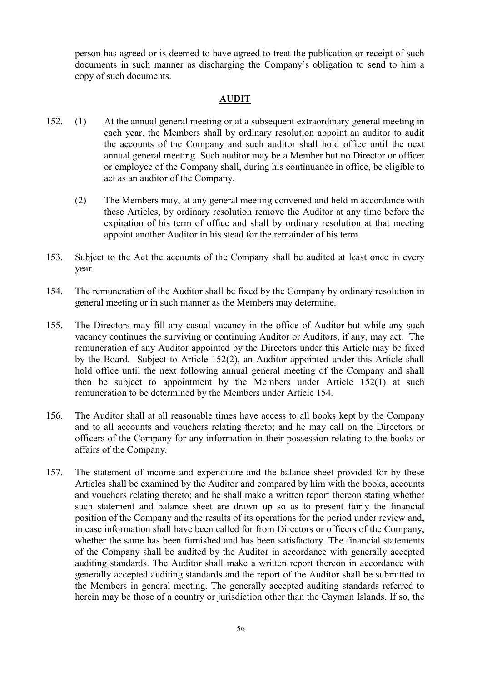person has agreed or is deemed to have agreed to treat the publication or receipt of such documents in such manner as discharging the Company's obligation to send to him a copy of such documents.

## AUDIT

- 152. (1) At the annual general meeting or at a subsequent extraordinary general meeting in each year, the Members shall by ordinary resolution appoint an auditor to audit the accounts of the Company and such auditor shall hold office until the next annual general meeting. Such auditor may be a Member but no Director or officer or employee of the Company shall, during his continuance in office, be eligible to act as an auditor of the Company.
	- (2) The Members may, at any general meeting convened and held in accordance with these Articles, by ordinary resolution remove the Auditor at any time before the expiration of his term of office and shall by ordinary resolution at that meeting appoint another Auditor in his stead for the remainder of his term.
- 153. Subject to the Act the accounts of the Company shall be audited at least once in every year.
- 154. The remuneration of the Auditor shall be fixed by the Company by ordinary resolution in general meeting or in such manner as the Members may determine.
- 155. The Directors may fill any casual vacancy in the office of Auditor but while any such vacancy continues the surviving or continuing Auditor or Auditors, if any, may act. The remuneration of any Auditor appointed by the Directors under this Article may be fixed by the Board. Subject to Article 152(2), an Auditor appointed under this Article shall hold office until the next following annual general meeting of the Company and shall then be subject to appointment by the Members under Article 152(1) at such remuneration to be determined by the Members under Article 154.
- 156. The Auditor shall at all reasonable times have access to all books kept by the Company and to all accounts and vouchers relating thereto; and he may call on the Directors or officers of the Company for any information in their possession relating to the books or affairs of the Company.
- 157. The statement of income and expenditure and the balance sheet provided for by these Articles shall be examined by the Auditor and compared by him with the books, accounts and vouchers relating thereto; and he shall make a written report thereon stating whether such statement and balance sheet are drawn up so as to present fairly the financial position of the Company and the results of its operations for the period under review and, in case information shall have been called for from Directors or officers of the Company, whether the same has been furnished and has been satisfactory. The financial statements of the Company shall be audited by the Auditor in accordance with generally accepted auditing standards. The Auditor shall make a written report thereon in accordance with generally accepted auditing standards and the report of the Auditor shall be submitted to the Members in general meeting. The generally accepted auditing standards referred to herein may be those of a country or jurisdiction other than the Cayman Islands. If so, the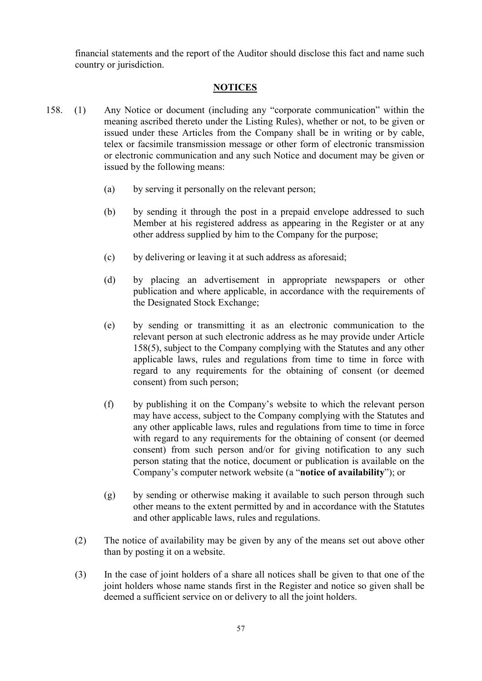financial statements and the report of the Auditor should disclose this fact and name such country or jurisdiction.

## **NOTICES**

- 158. (1) Any Notice or document (including any "corporate communication" within the meaning ascribed thereto under the Listing Rules), whether or not, to be given or issued under these Articles from the Company shall be in writing or by cable, telex or facsimile transmission message or other form of electronic transmission or electronic communication and any such Notice and document may be given or issued by the following means:
	- (a) by serving it personally on the relevant person;
	- (b) by sending it through the post in a prepaid envelope addressed to such Member at his registered address as appearing in the Register or at any other address supplied by him to the Company for the purpose;
	- (c) by delivering or leaving it at such address as aforesaid;
	- (d) by placing an advertisement in appropriate newspapers or other publication and where applicable, in accordance with the requirements of the Designated Stock Exchange;
	- (e) by sending or transmitting it as an electronic communication to the relevant person at such electronic address as he may provide under Article 158(5), subject to the Company complying with the Statutes and any other applicable laws, rules and regulations from time to time in force with regard to any requirements for the obtaining of consent (or deemed consent) from such person;
	- (f) by publishing it on the Company's website to which the relevant person may have access, subject to the Company complying with the Statutes and any other applicable laws, rules and regulations from time to time in force with regard to any requirements for the obtaining of consent (or deemed consent) from such person and/or for giving notification to any such person stating that the notice, document or publication is available on the Company's computer network website (a "notice of availability"); or
	- (g) by sending or otherwise making it available to such person through such other means to the extent permitted by and in accordance with the Statutes and other applicable laws, rules and regulations.
	- (2) The notice of availability may be given by any of the means set out above other than by posting it on a website.
	- (3) In the case of joint holders of a share all notices shall be given to that one of the joint holders whose name stands first in the Register and notice so given shall be deemed a sufficient service on or delivery to all the joint holders.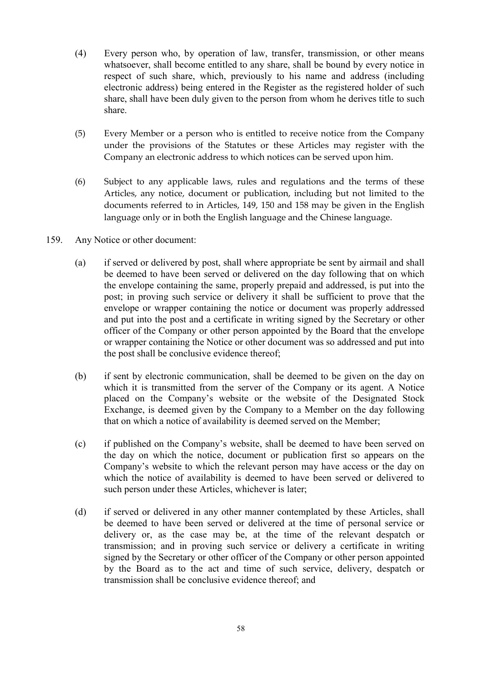- (4) Every person who, by operation of law, transfer, transmission, or other means whatsoever, shall become entitled to any share, shall be bound by every notice in respect of such share, which, previously to his name and address (including electronic address) being entered in the Register as the registered holder of such share, shall have been duly given to the person from whom he derives title to such share.
- (5) Every Member or a person who is entitled to receive notice from the Company under the provisions of the Statutes or these Articles may register with the Company an electronic address to which notices can be served upon him.
- (6) Subject to any applicable laws, rules and regulations and the terms of these Articles, any notice, document or publication, including but not limited to the documents referred to in Articles, 149, 150 and 158 may be given in the English language only or in both the English language and the Chinese language.
- 159. Any Notice or other document:
	- (a) if served or delivered by post, shall where appropriate be sent by airmail and shall be deemed to have been served or delivered on the day following that on which the envelope containing the same, properly prepaid and addressed, is put into the post; in proving such service or delivery it shall be sufficient to prove that the envelope or wrapper containing the notice or document was properly addressed and put into the post and a certificate in writing signed by the Secretary or other officer of the Company or other person appointed by the Board that the envelope or wrapper containing the Notice or other document was so addressed and put into the post shall be conclusive evidence thereof;
	- (b) if sent by electronic communication, shall be deemed to be given on the day on which it is transmitted from the server of the Company or its agent. A Notice placed on the Company's website or the website of the Designated Stock Exchange, is deemed given by the Company to a Member on the day following that on which a notice of availability is deemed served on the Member;
	- (c) if published on the Company's website, shall be deemed to have been served on the day on which the notice, document or publication first so appears on the Company's website to which the relevant person may have access or the day on which the notice of availability is deemed to have been served or delivered to such person under these Articles, whichever is later;
	- (d) if served or delivered in any other manner contemplated by these Articles, shall be deemed to have been served or delivered at the time of personal service or delivery or, as the case may be, at the time of the relevant despatch or transmission; and in proving such service or delivery a certificate in writing signed by the Secretary or other officer of the Company or other person appointed by the Board as to the act and time of such service, delivery, despatch or transmission shall be conclusive evidence thereof; and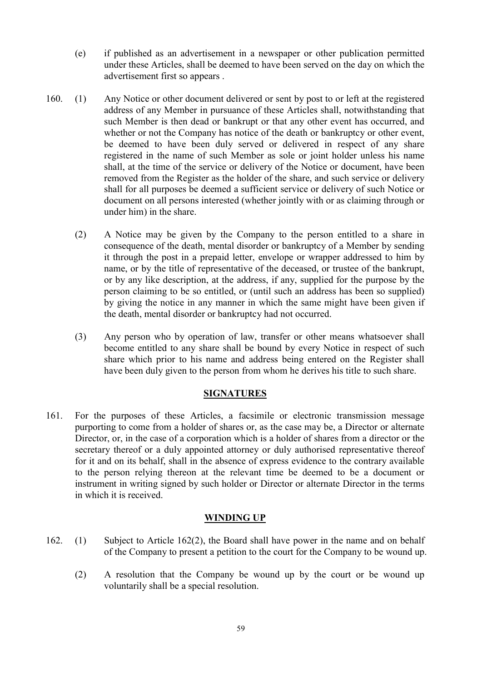- (e) if published as an advertisement in a newspaper or other publication permitted under these Articles, shall be deemed to have been served on the day on which the advertisement first so appears .
- 160. (1) Any Notice or other document delivered or sent by post to or left at the registered address of any Member in pursuance of these Articles shall, notwithstanding that such Member is then dead or bankrupt or that any other event has occurred, and whether or not the Company has notice of the death or bankruptcy or other event, be deemed to have been duly served or delivered in respect of any share registered in the name of such Member as sole or joint holder unless his name shall, at the time of the service or delivery of the Notice or document, have been removed from the Register as the holder of the share, and such service or delivery shall for all purposes be deemed a sufficient service or delivery of such Notice or document on all persons interested (whether jointly with or as claiming through or under him) in the share.
	- (2) A Notice may be given by the Company to the person entitled to a share in consequence of the death, mental disorder or bankruptcy of a Member by sending it through the post in a prepaid letter, envelope or wrapper addressed to him by name, or by the title of representative of the deceased, or trustee of the bankrupt, or by any like description, at the address, if any, supplied for the purpose by the person claiming to be so entitled, or (until such an address has been so supplied) by giving the notice in any manner in which the same might have been given if the death, mental disorder or bankruptcy had not occurred.
	- (3) Any person who by operation of law, transfer or other means whatsoever shall become entitled to any share shall be bound by every Notice in respect of such share which prior to his name and address being entered on the Register shall have been duly given to the person from whom he derives his title to such share.

#### SIGNATURES

161. For the purposes of these Articles, a facsimile or electronic transmission message purporting to come from a holder of shares or, as the case may be, a Director or alternate Director, or, in the case of a corporation which is a holder of shares from a director or the secretary thereof or a duly appointed attorney or duly authorised representative thereof for it and on its behalf, shall in the absence of express evidence to the contrary available to the person relying thereon at the relevant time be deemed to be a document or instrument in writing signed by such holder or Director or alternate Director in the terms in which it is received.

#### WINDING UP

- 162. (1) Subject to Article 162(2), the Board shall have power in the name and on behalf of the Company to present a petition to the court for the Company to be wound up.
	- (2) A resolution that the Company be wound up by the court or be wound up voluntarily shall be a special resolution.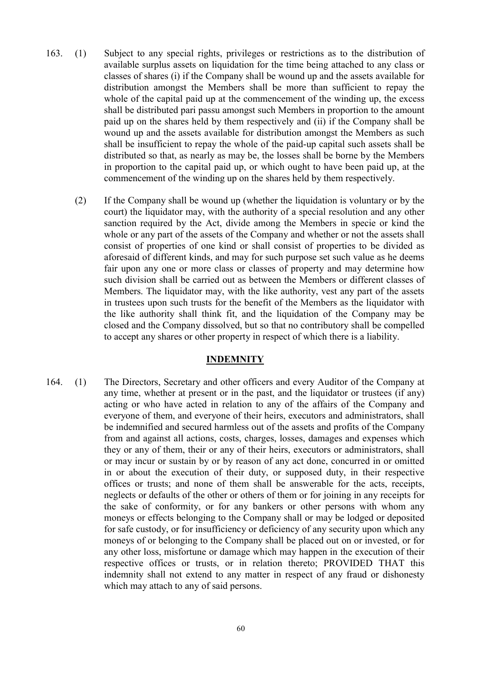- 163. (1) Subject to any special rights, privileges or restrictions as to the distribution of available surplus assets on liquidation for the time being attached to any class or classes of shares (i) if the Company shall be wound up and the assets available for distribution amongst the Members shall be more than sufficient to repay the whole of the capital paid up at the commencement of the winding up, the excess shall be distributed pari passu amongst such Members in proportion to the amount paid up on the shares held by them respectively and (ii) if the Company shall be wound up and the assets available for distribution amongst the Members as such shall be insufficient to repay the whole of the paid-up capital such assets shall be distributed so that, as nearly as may be, the losses shall be borne by the Members in proportion to the capital paid up, or which ought to have been paid up, at the commencement of the winding up on the shares held by them respectively.
	- (2) If the Company shall be wound up (whether the liquidation is voluntary or by the court) the liquidator may, with the authority of a special resolution and any other sanction required by the Act, divide among the Members in specie or kind the whole or any part of the assets of the Company and whether or not the assets shall consist of properties of one kind or shall consist of properties to be divided as aforesaid of different kinds, and may for such purpose set such value as he deems fair upon any one or more class or classes of property and may determine how such division shall be carried out as between the Members or different classes of Members. The liquidator may, with the like authority, vest any part of the assets in trustees upon such trusts for the benefit of the Members as the liquidator with the like authority shall think fit, and the liquidation of the Company may be closed and the Company dissolved, but so that no contributory shall be compelled to accept any shares or other property in respect of which there is a liability.

### INDEMNITY

164. (1) The Directors, Secretary and other officers and every Auditor of the Company at any time, whether at present or in the past, and the liquidator or trustees (if any) acting or who have acted in relation to any of the affairs of the Company and everyone of them, and everyone of their heirs, executors and administrators, shall be indemnified and secured harmless out of the assets and profits of the Company from and against all actions, costs, charges, losses, damages and expenses which they or any of them, their or any of their heirs, executors or administrators, shall or may incur or sustain by or by reason of any act done, concurred in or omitted in or about the execution of their duty, or supposed duty, in their respective offices or trusts; and none of them shall be answerable for the acts, receipts, neglects or defaults of the other or others of them or for joining in any receipts for the sake of conformity, or for any bankers or other persons with whom any moneys or effects belonging to the Company shall or may be lodged or deposited for safe custody, or for insufficiency or deficiency of any security upon which any moneys of or belonging to the Company shall be placed out on or invested, or for any other loss, misfortune or damage which may happen in the execution of their respective offices or trusts, or in relation thereto; PROVIDED THAT this indemnity shall not extend to any matter in respect of any fraud or dishonesty which may attach to any of said persons.